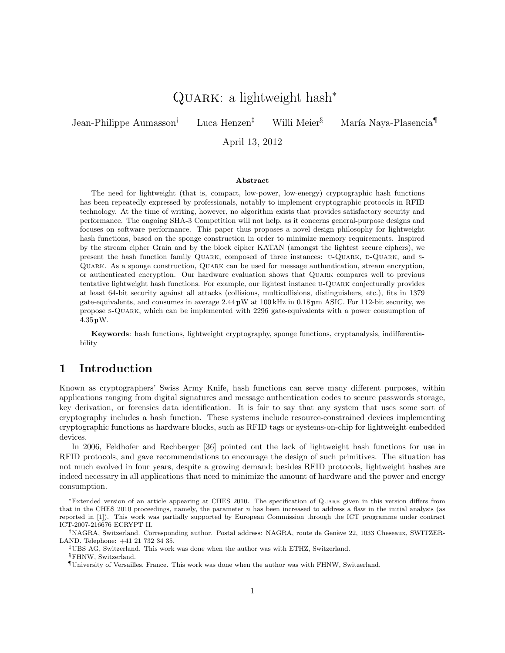# QUARK: a lightweight hash<sup>\*</sup>

Jean-Philippe Aumasson<sup>†</sup> Luca Henzen<sup>‡</sup> Willi Meier<sup>§</sup> María Naya-Plasencia<sup>¶</sup>

April 13, 2012

### Abstract

The need for lightweight (that is, compact, low-power, low-energy) cryptographic hash functions has been repeatedly expressed by professionals, notably to implement cryptographic protocols in RFID technology. At the time of writing, however, no algorithm exists that provides satisfactory security and performance. The ongoing SHA-3 Competition will not help, as it concerns general-purpose designs and focuses on software performance. This paper thus proposes a novel design philosophy for lightweight hash functions, based on the sponge construction in order to minimize memory requirements. Inspired by the stream cipher Grain and by the block cipher KATAN (amongst the lightest secure ciphers), we present the hash function family QUARK, composed of three instances: U-QUARK, D-QUARK, and S-Quark. As a sponge construction, Quark can be used for message authentication, stream encryption, or authenticated encryption. Our hardware evaluation shows that Quark compares well to previous tentative lightweight hash functions. For example, our lightest instance u-Quark conjecturally provides at least 64-bit security against all attacks (collisions, multicollisions, distinguishers, etc.), fits in 1379 gate-equivalents, and consumes in average 2.44 µW at 100 kHz in 0.18 µm ASIC. For 112-bit security, we propose s-Quark, which can be implemented with 2296 gate-equivalents with a power consumption of 4.35 µW.

Keywords: hash functions, lightweight cryptography, sponge functions, cryptanalysis, indifferentiability

## 1 Introduction

Known as cryptographers' Swiss Army Knife, hash functions can serve many different purposes, within applications ranging from digital signatures and message authentication codes to secure passwords storage, key derivation, or forensics data identification. It is fair to say that any system that uses some sort of cryptography includes a hash function. These systems include resource-constrained devices implementing cryptographic functions as hardware blocks, such as RFID tags or systems-on-chip for lightweight embedded devices.

In 2006, Feldhofer and Rechberger [36] pointed out the lack of lightweight hash functions for use in RFID protocols, and gave recommendations to encourage the design of such primitives. The situation has not much evolved in four years, despite a growing demand; besides RFID protocols, lightweight hashes are indeed necessary in all applications that need to minimize the amount of hardware and the power and energy consumption.

<sup>∗</sup>Extended version of an article appearing at CHES 2010. The specification of Quark given in this version differs from that in the CHES 2010 proceedings, namely, the parameter  $n$  has been increased to address a flaw in the initial analysis (as reported in [1]). This work was partially supported by European Commission through the ICT programme under contract ICT-2007-216676 ECRYPT II.

<sup>&</sup>lt;sup>†</sup>NAGRA, Switzerland. Corresponding author. Postal address: NAGRA, route de Genève 22, 1033 Cheseaux, SWITZER-LAND. Telephone: +41 21 732 34 35.

<sup>‡</sup>UBS AG, Switzerland. This work was done when the author was with ETHZ, Switzerland. §FHNW, Switzerland.

<sup>¶</sup>University of Versailles, France. This work was done when the author was with FHNW, Switzerland.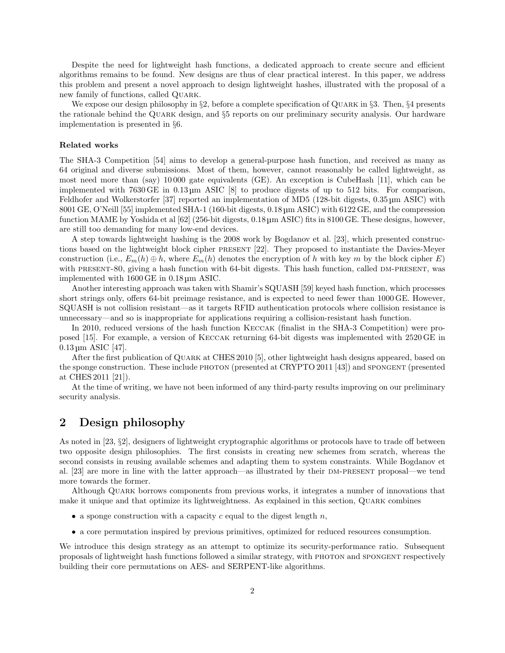Despite the need for lightweight hash functions, a dedicated approach to create secure and efficient algorithms remains to be found. New designs are thus of clear practical interest. In this paper, we address this problem and present a novel approach to design lightweight hashes, illustrated with the proposal of a new family of functions, called Quark.

We expose our design philosophy in  $\S 2$ , before a complete specification of QUARK in  $\S 3$ . Then,  $\S 4$  presents the rationale behind the Quark design, and §5 reports on our preliminary security analysis. Our hardware implementation is presented in §6.

#### Related works

The SHA-3 Competition [54] aims to develop a general-purpose hash function, and received as many as 64 original and diverse submissions. Most of them, however, cannot reasonably be called lightweight, as most need more than (say) 10 000 gate equivalents (GE). An exception is CubeHash [11], which can be implemented with 7630 GE in 0.13 µm ASIC [8] to produce digests of up to 512 bits. For comparison, Feldhofer and Wolkerstorfer [37] reported an implementation of MD5 (128-bit digests, 0.35 µm ASIC) with 8001 GE, O'Neill [55] implemented SHA-1 (160-bit digests, 0.18 µm ASIC) with 6122 GE, and the compression function MAME by Yoshida et al [62] (256-bit digests, 0.18 µm ASIC) fits in 8100 GE. These designs, however, are still too demanding for many low-end devices.

A step towards lightweight hashing is the 2008 work by Bogdanov et al. [23], which presented constructions based on the lightweight block cipher present [22]. They proposed to instantiate the Davies-Meyer construction (i.e.,  $E_m(h) \oplus h$ , where  $E_m(h)$  denotes the encryption of h with key m by the block cipher E) with PRESENT-80, giving a hash function with 64-bit digests. This hash function, called DM-PRESENT, was implemented with 1600 GE in 0.18 µm ASIC.

Another interesting approach was taken with Shamir's SQUASH [59] keyed hash function, which processes short strings only, offers 64-bit preimage resistance, and is expected to need fewer than 1000 GE. However, SQUASH is not collision resistant—as it targets RFID authentication protocols where collision resistance is unnecessary—and so is inappropriate for applications requiring a collision-resistant hash function.

In 2010, reduced versions of the hash function Keccak (finalist in the SHA-3 Competition) were proposed [15]. For example, a version of Keccak returning 64-bit digests was implemented with 2520 GE in 0.13 µm ASIC [47].

After the first publication of Quark at CHES 2010 [5], other lightweight hash designs appeared, based on the sponge construction. These include PHOTON (presented at CRYPTO 2011 [43]) and SPONGENT (presented at CHES 2011 [21]).

At the time of writing, we have not been informed of any third-party results improving on our preliminary security analysis.

## 2 Design philosophy

As noted in [23, §2], designers of lightweight cryptographic algorithms or protocols have to trade off between two opposite design philosophies. The first consists in creating new schemes from scratch, whereas the second consists in reusing available schemes and adapting them to system constraints. While Bogdanov et al. [23] are more in line with the latter approach—as illustrated by their DM-PRESENT proposal—we tend more towards the former.

Although Quark borrows components from previous works, it integrates a number of innovations that make it unique and that optimize its lightweightness. As explained in this section, QUARK combines

- a sponge construction with a capacity  $c$  equal to the digest length  $n$ ,
- a core permutation inspired by previous primitives, optimized for reduced resources consumption.

We introduce this design strategy as an attempt to optimize its security-performance ratio. Subsequent proposals of lightweight hash functions followed a similar strategy, with photon and spongent respectively building their core permutations on AES- and SERPENT-like algorithms.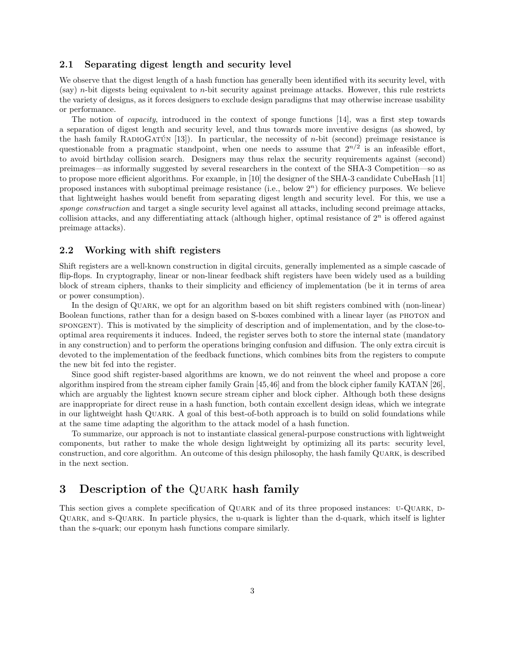## 2.1 Separating digest length and security level

We observe that the digest length of a hash function has generally been identified with its security level, with (say) n-bit digests being equivalent to n-bit security against preimage attacks. However, this rule restricts the variety of designs, as it forces designers to exclude design paradigms that may otherwise increase usability or performance.

The notion of capacity, introduced in the context of sponge functions [14], was a first step towards a separation of digest length and security level, and thus towards more inventive designs (as showed, by the hash family RADIOGATUN  $[13]$ . In particular, the necessity of *n*-bit (second) preimage resistance is questionable from a pragmatic standpoint, when one needs to assume that  $2^{n/2}$  is an infeasible effort, to avoid birthday collision search. Designers may thus relax the security requirements against (second) preimages—as informally suggested by several researchers in the context of the SHA-3 Competition—so as to propose more efficient algorithms. For example, in [10] the designer of the SHA-3 candidate CubeHash [11] proposed instances with suboptimal preimage resistance (i.e., below  $2<sup>n</sup>$ ) for efficiency purposes. We believe that lightweight hashes would benefit from separating digest length and security level. For this, we use a sponge construction and target a single security level against all attacks, including second preimage attacks, collision attacks, and any differentiating attack (although higher, optimal resistance of  $2<sup>n</sup>$  is offered against preimage attacks).

## 2.2 Working with shift registers

Shift registers are a well-known construction in digital circuits, generally implemented as a simple cascade of flip-flops. In cryptography, linear or non-linear feedback shift registers have been widely used as a building block of stream ciphers, thanks to their simplicity and efficiency of implementation (be it in terms of area or power consumption).

In the design of Quark, we opt for an algorithm based on bit shift registers combined with (non-linear) Boolean functions, rather than for a design based on S-boxes combined with a linear layer (as photon and spongent). This is motivated by the simplicity of description and of implementation, and by the close-tooptimal area requirements it induces. Indeed, the register serves both to store the internal state (mandatory in any construction) and to perform the operations bringing confusion and diffusion. The only extra circuit is devoted to the implementation of the feedback functions, which combines bits from the registers to compute the new bit fed into the register.

Since good shift register-based algorithms are known, we do not reinvent the wheel and propose a core algorithm inspired from the stream cipher family Grain [45,46] and from the block cipher family KATAN [26], which are arguably the lightest known secure stream cipher and block cipher. Although both these designs are inappropriate for direct reuse in a hash function, both contain excellent design ideas, which we integrate in our lightweight hash Quark. A goal of this best-of-both approach is to build on solid foundations while at the same time adapting the algorithm to the attack model of a hash function.

To summarize, our approach is not to instantiate classical general-purpose constructions with lightweight components, but rather to make the whole design lightweight by optimizing all its parts: security level, construction, and core algorithm. An outcome of this design philosophy, the hash family Quark, is described in the next section.

## 3 Description of the QUARK hash family

This section gives a complete specification of QUARK and of its three proposed instances: U-QUARK, D-Quark, and s-Quark. In particle physics, the u-quark is lighter than the d-quark, which itself is lighter than the s-quark; our eponym hash functions compare similarly.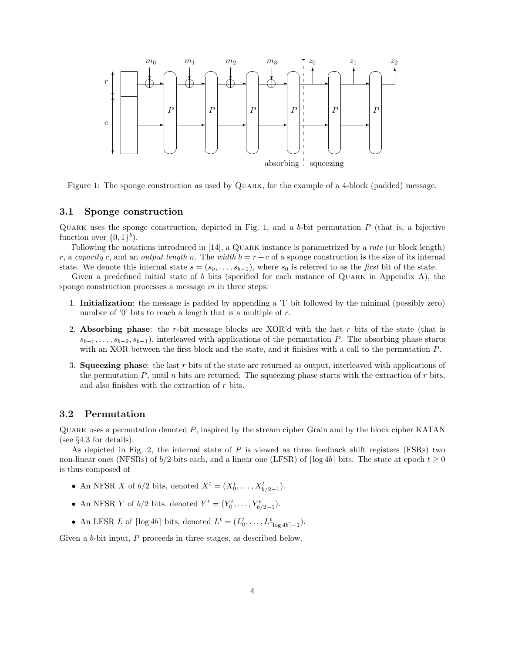

Figure 1: The sponge construction as used by QUARK, for the example of a 4-block (padded) message.

## 3.1 Sponge construction

QUARK uses the sponge construction, depicted in Fig. 1, and a b-bit permutation  $P$  (that is, a bijective function over  $\{0,1\}$ <sup>b</sup>).

Following the notations introduced in [14], a QUARK instance is parametrized by a *rate* (or block length) r, a capacity c, and an output length n. The width  $b = r + c$  of a sponge construction is the size of its internal state. We denote this internal state  $s = (s_0, \ldots, s_{b-1})$ , where  $s_0$  is referred to as the *first* bit of the state.

Given a predefined initial state of b bits (specified for each instance of QUARK in Appendix A), the sponge construction processes a message  $m$  in three steps:

- 1. Initialization: the message is padded by appending a '1' bit followed by the minimal (possibly zero) number of '0' bits to reach a length that is a multiple of  $r$ .
- 2. Absorbing phase: the r-bit message blocks are XOR'd with the last r bits of the state (that is  $s_{b-r}, \ldots, s_{b-2}, s_{b-1}$ , interleaved with applications of the permutation P. The absorbing phase starts with an XOR between the first block and the state, and it finishes with a call to the permutation P.
- 3. Squeezing phase: the last r bits of the state are returned as output, interleaved with applications of the permutation  $P$ , until n bits are returned. The squeezing phase starts with the extraction of  $r$  bits, and also finishes with the extraction of  $r$  bits.

## 3.2 Permutation

QUARK uses a permutation denoted  $P$ , inspired by the stream cipher Grain and by the block cipher KATAN (see §4.3 for details).

As depicted in Fig. 2, the internal state of P is viewed as three feedback shift registers (FSRs) two non-linear ones (NFSRs) of  $b/2$  bits each, and a linear one (LFSR) of  $\lceil \log 4b \rceil$  bits. The state at epoch  $t \ge 0$ is thus composed of

- An NFSR X of  $b/2$  bits, denoted  $X^t = (X_0^t, \ldots, X_{b/2-1}^t)$ .
- An NFSR Y of  $b/2$  bits, denoted  $Y^t = (Y_0^t, \ldots, Y_{b/2-1}^t)$ .
- An LFSR L of  $\lceil \log 4b \rceil$  bits, denoted  $L^t = (L_0^t, \ldots, L_{\lceil \log 4b \rceil 1}^t)$ .

Given a b-bit input, P proceeds in three stages, as described below.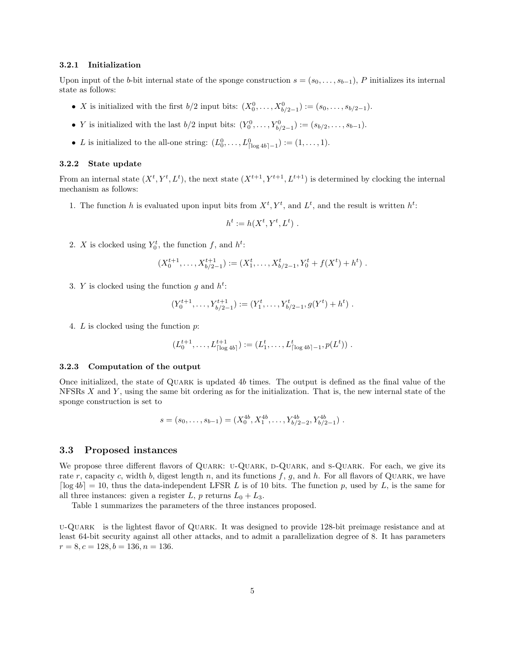#### 3.2.1 Initialization

Upon input of the b-bit internal state of the sponge construction  $s = (s_0, \ldots, s_{b-1})$ , P initializes its internal state as follows:

- *X* is initialized with the first  $b/2$  input bits:  $(X_0^0, ..., X_{b/2-1}^0) := (s_0, ..., s_{b/2-1}).$
- *Y* is initialized with the last  $b/2$  input bits:  $(Y_0^0, ..., Y_{b/2-1}^0) := (s_{b/2}, ..., s_{b-1}).$
- L is initialized to the all-one string:  $(L_0^0, \ldots, L_{\lceil \log 4b \rceil 1}^0) := (1, \ldots, 1)$ .

### 3.2.2 State update

From an internal state  $(X^t, Y^t, L^t)$ , the next state  $(X^{t+1}, Y^{t+1}, L^{t+1})$  is determined by clocking the internal mechanism as follows:

1. The function h is evaluated upon input bits from  $X^t, Y^t$ , and  $L^t$ , and the result is written  $h^t$ :

$$
h^t := h(X^t, Y^t, L^t) .
$$

2. X is clocked using  $Y_0^t$ , the function f, and  $h^t$ :

$$
(X_0^{t+1}, \ldots, X_{b/2-1}^{t+1}) := (X_1^t, \ldots, X_{b/2-1}^t, Y_0^t + f(X^t) + h^t) .
$$

3. Y is clocked using the function g and  $h^t$ :

$$
(Y_0^{t+1}, \ldots, Y_{b/2-1}^{t+1}) := (Y_1^t, \ldots, Y_{b/2-1}^t, g(Y^t) + h^t) .
$$

4. L is clocked using the function p:

$$
(L_0^{t+1},\ldots,L_{\lceil \log 4b \rceil}^{t+1}) := (L_1^t,\ldots,L_{\lceil \log 4b \rceil-1}^t,p(L^t)) \ .
$$

## 3.2.3 Computation of the output

Once initialized, the state of Quark is updated 4b times. The output is defined as the final value of the NFSRs  $X$  and  $Y$ , using the same bit ordering as for the initialization. That is, the new internal state of the sponge construction is set to

$$
s = (s_0, \ldots, s_{b-1}) = (X_0^{4b}, X_1^{4b}, \ldots, Y_{b/2-2}^{4b}, Y_{b/2-1}^{4b}).
$$

## 3.3 Proposed instances

We propose three different flavors of QUARK: U-QUARK, D-QUARK, and S-QUARK. For each, we give its rate r, capacity c, width b, digest length n, and its functions f, g, and h. For all flavors of QUARK, we have  $\lceil \log 4b \rceil = 10$ , thus the data-independent LFSR L is of 10 bits. The function p, used by L, is the same for all three instances: given a register L, p returns  $L_0 + L_3$ .

Table 1 summarizes the parameters of the three instances proposed.

u-Quark is the lightest flavor of Quark. It was designed to provide 128-bit preimage resistance and at least 64-bit security against all other attacks, and to admit a parallelization degree of 8. It has parameters  $r = 8, c = 128, b = 136, n = 136.$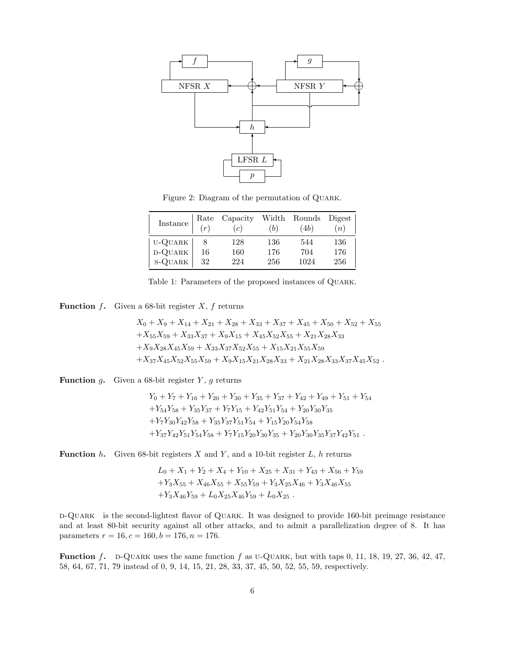

Figure 2: Diagram of the permutation of QUARK.

| Instance   | Rate<br>(r) | Capacity<br>(c) | (b) | Width Rounds Digest<br>(4b) | (n) |
|------------|-------------|-----------------|-----|-----------------------------|-----|
| U-QUARK    |             | 128             | 136 | 544                         | 136 |
| $D-QUARK$  | 16          | 160             | 176 | 704                         | 176 |
| $s$ -QUARK | 32          | 224             | 256 | 1024                        | 256 |

| Table 1: Parameters of the proposed instances of QUARK. |  |  |  |
|---------------------------------------------------------|--|--|--|
|                                                         |  |  |  |

**Function**  $f$ . Given a 68-bit register  $X$ ,  $f$  returns

$$
X_0 + X_9 + X_{14} + X_{21} + X_{28} + X_{33} + X_{37} + X_{45} + X_{50} + X_{52} + X_{55} + X_{55}X_{59} + X_{33}X_{37} + X_9X_{15} + X_{45}X_{52}X_{55} + X_{21}X_{28}X_{33} + X_9X_{28}X_{45}X_{59} + X_{33}X_{37}X_{52}X_{55} + X_{15}X_{21}X_{55}X_{59} + X_{37}X_{45}X_{52}X_{55}X_{59} + X_9X_{15}X_{21}X_{28}X_{33} + X_{21}X_{28}X_{33}X_{37}X_{45}X_{52}.
$$

**Function** g. Given a 68-bit register  $Y$ , g returns

$$
Y_0 + Y_7 + Y_{16} + Y_{20} + Y_{30} + Y_{35} + Y_{37} + Y_{42} + Y_{49} + Y_{51} + Y_{54} + Y_{54}Y_{58} + Y_{35}Y_{37} + Y_7Y_{15} + Y_{42}Y_{51}Y_{54} + Y_{20}Y_{30}Y_{35} + Y_7Y_{30}Y_{42}Y_{58} + Y_{35}Y_{37}Y_{51}Y_{54} + Y_{15}Y_{20}Y_{54}Y_{58} + Y_{37}Y_{42}Y_{51}Y_{54}Y_{58} + Y_7Y_{15}Y_{20}Y_{30}Y_{35} + Y_{20}Y_{30}Y_{35}Y_{37}Y_{42}Y_{51} .
$$

**Function** h. Given 68-bit registers X and Y, and a 10-bit register  $L$ , h returns

$$
L_0 + X_1 + Y_2 + X_4 + Y_{10} + X_{25} + X_{31} + Y_{43} + X_{56} + Y_{59}
$$
  
+
$$
Y_3X_{55} + X_{46}X_{55} + X_{55}Y_{59} + Y_3X_{25}X_{46} + Y_3X_{46}X_{55}
$$
  
+
$$
Y_3X_{46}Y_{59} + L_0X_{25}X_{46}Y_{59} + L_0X_{25}.
$$

d-Quark is the second-lightest flavor of Quark. It was designed to provide 160-bit preimage resistance and at least 80-bit security against all other attacks, and to admit a parallelization degree of 8. It has parameters  $r = 16$ ,  $c = 160$ ,  $b = 176$ ,  $n = 176$ .

**Function** f. D-QUARK uses the same function f as U-QUARK, but with taps 0, 11, 18, 19, 27, 36, 42, 47, 58, 64, 67, 71, 79 instead of 0, 9, 14, 15, 21, 28, 33, 37, 45, 50, 52, 55, 59, respectively.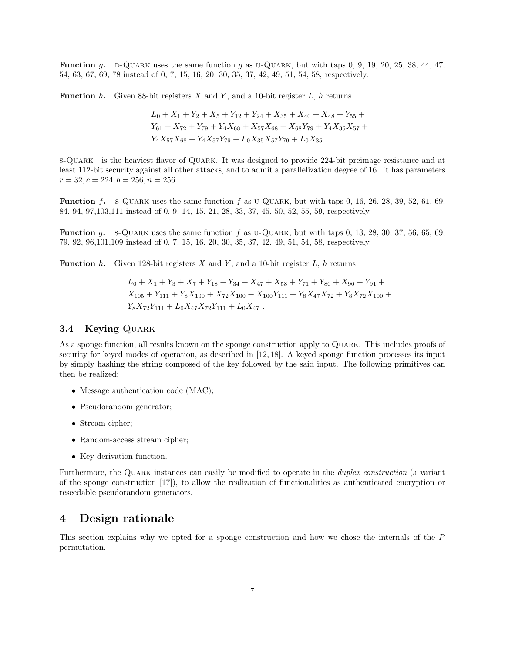**Function** g. d-Quark uses the same function g as u-Quark, but with taps 0, 9, 19, 20, 25, 38, 44, 47, 54, 63, 67, 69, 78 instead of 0, 7, 15, 16, 20, 30, 35, 37, 42, 49, 51, 54, 58, respectively.

**Function** h. Given 88-bit registers X and Y, and a 10-bit register  $L$ , h returns

$$
L_0 + X_1 + Y_2 + X_5 + Y_{12} + Y_{24} + X_{35} + X_{40} + X_{48} + Y_{55} + Y_{61} + X_{72} + Y_{79} + Y_4X_{68} + X_{57}X_{68} + X_{68}Y_{79} + Y_4X_{35}X_{57} + Y_4X_{57}X_{68} + Y_4X_{57}Y_{79} + L_0X_{35}X_{57}Y_{79} + L_0X_{35}.
$$

s-Quark is the heaviest flavor of Quark. It was designed to provide 224-bit preimage resistance and at least 112-bit security against all other attacks, and to admit a parallelization degree of 16. It has parameters  $r = 32, c = 224, b = 256, n = 256.$ 

**Function** f. s-QUARK uses the same function f as U-QUARK, but with taps 0, 16, 26, 28, 39, 52, 61, 69, 84, 94, 97,103,111 instead of 0, 9, 14, 15, 21, 28, 33, 37, 45, 50, 52, 55, 59, respectively.

**Function** q. s-QUARK uses the same function f as U-QUARK, but with taps  $0, 13, 28, 30, 37, 56, 65, 69$ , 79, 92, 96,101,109 instead of 0, 7, 15, 16, 20, 30, 35, 37, 42, 49, 51, 54, 58, respectively.

**Function** h. Given 128-bit registers X and Y, and a 10-bit register L, h returns

$$
L_0 + X_1 + Y_3 + X_7 + Y_{18} + Y_{34} + X_{47} + X_{58} + Y_{71} + Y_{80} + X_{90} + Y_{91} + X_{105} + Y_{111} + Y_8 X_{100} + X_{72} X_{100} + X_{100} Y_{111} + Y_8 X_{47} X_{72} + Y_8 X_{72} X_{100} + Y_8 X_{72} Y_{111} + L_0 X_{47} X_{72} Y_{111} + L_0 X_{47}.
$$

## 3.4 Keying QUARK

As a sponge function, all results known on the sponge construction apply to Quark. This includes proofs of security for keyed modes of operation, as described in [12, 18]. A keyed sponge function processes its input by simply hashing the string composed of the key followed by the said input. The following primitives can then be realized:

- Message authentication code (MAC);
- Pseudorandom generator;
- Stream cipher;
- Random-access stream cipher;
- Key derivation function.

Furthermore, the QUARK instances can easily be modified to operate in the *duplex construction* (a variant of the sponge construction [17]), to allow the realization of functionalities as authenticated encryption or reseedable pseudorandom generators.

## 4 Design rationale

This section explains why we opted for a sponge construction and how we chose the internals of the P permutation.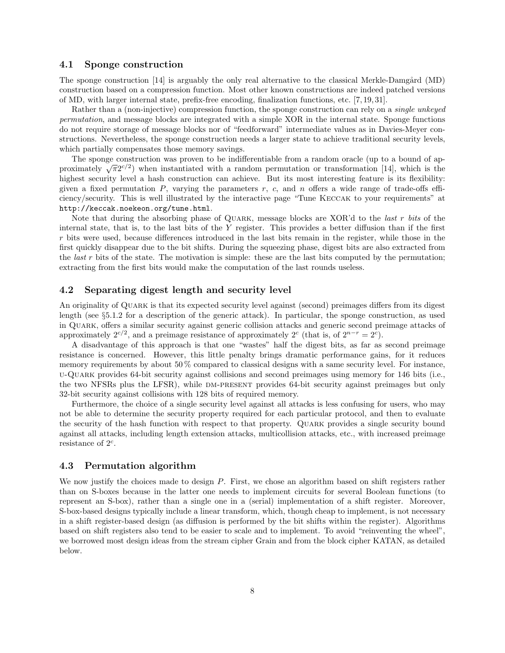### 4.1 Sponge construction

The sponge construction  $[14]$  is arguably the only real alternative to the classical Merkle-Damgård (MD) construction based on a compression function. Most other known constructions are indeed patched versions of MD, with larger internal state, prefix-free encoding, finalization functions, etc. [7, 19, 31].

Rather than a (non-injective) compression function, the sponge construction can rely on a single unkeyed permutation, and message blocks are integrated with a simple XOR in the internal state. Sponge functions do not require storage of message blocks nor of "feedforward" intermediate values as in Davies-Meyer constructions. Nevertheless, the sponge construction needs a larger state to achieve traditional security levels, which partially compensates those memory savings.

The sponge construction was proven to be indifferentiable from a random oracle (up to a bound of ap-The sponge construction was proven to be indifferentiable from a random oracle (up to a bound of approximately  $\sqrt{\pi}2^{c/2}$ ) when instantiated with a random permutation or transformation [14], which is the highest security level a hash construction can achieve. But its most interesting feature is its flexibility: given a fixed permutation  $P$ , varying the parameters  $r$ ,  $c$ , and  $n$  offers a wide range of trade-offs efficiency/security. This is well illustrated by the interactive page "Tune Keccak to your requirements" at http://keccak.noekeon.org/tune.html.

Note that during the absorbing phase of QUARK, message blocks are XOR'd to the *last r bits* of the internal state, that is, to the last bits of the Y register. This provides a better diffusion than if the first r bits were used, because differences introduced in the last bits remain in the register, while those in the first quickly disappear due to the bit shifts. During the squeezing phase, digest bits are also extracted from the *last*  $r$  bits of the state. The motivation is simple: these are the last bits computed by the permutation; extracting from the first bits would make the computation of the last rounds useless.

## 4.2 Separating digest length and security level

An originality of Quark is that its expected security level against (second) preimages differs from its digest length (see §5.1.2 for a description of the generic attack). In particular, the sponge construction, as used in Quark, offers a similar security against generic collision attacks and generic second preimage attacks of approximately  $2^{c/2}$ , and a preimage resistance of approximately  $2^c$  (that is, of  $2^{n-r} = 2^c$ ).

A disadvantage of this approach is that one "wastes" half the digest bits, as far as second preimage resistance is concerned. However, this little penalty brings dramatic performance gains, for it reduces memory requirements by about 50 % compared to classical designs with a same security level. For instance, u-Quark provides 64-bit security against collisions and second preimages using memory for 146 bits (i.e., the two NFSRs plus the LFSR), while DM-PRESENT provides 64-bit security against preimages but only 32-bit security against collisions with 128 bits of required memory.

Furthermore, the choice of a single security level against all attacks is less confusing for users, who may not be able to determine the security property required for each particular protocol, and then to evaluate the security of the hash function with respect to that property. Quark provides a single security bound against all attacks, including length extension attacks, multicollision attacks, etc., with increased preimage resistance of  $2^c$ .

## 4.3 Permutation algorithm

We now justify the choices made to design P. First, we chose an algorithm based on shift registers rather than on S-boxes because in the latter one needs to implement circuits for several Boolean functions (to represent an S-box), rather than a single one in a (serial) implementation of a shift register. Moreover, S-box-based designs typically include a linear transform, which, though cheap to implement, is not necessary in a shift register-based design (as diffusion is performed by the bit shifts within the register). Algorithms based on shift registers also tend to be easier to scale and to implement. To avoid "reinventing the wheel", we borrowed most design ideas from the stream cipher Grain and from the block cipher KATAN, as detailed below.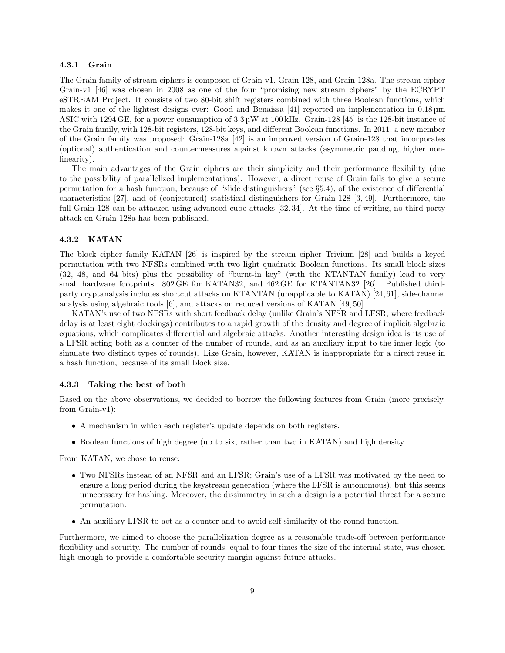#### 4.3.1 Grain

The Grain family of stream ciphers is composed of Grain-v1, Grain-128, and Grain-128a. The stream cipher Grain-v1 [46] was chosen in 2008 as one of the four "promising new stream ciphers" by the ECRYPT eSTREAM Project. It consists of two 80-bit shift registers combined with three Boolean functions, which makes it one of the lightest designs ever: Good and Benaissa [41] reported an implementation in 0.18 µm ASIC with 1294 GE, for a power consumption of  $3.3 \mu$ W at 100 kHz. Grain-128 [45] is the 128-bit instance of the Grain family, with 128-bit registers, 128-bit keys, and different Boolean functions. In 2011, a new member of the Grain family was proposed: Grain-128a [42] is an improved version of Grain-128 that incorporates (optional) authentication and countermeasures against known attacks (asymmetric padding, higher nonlinearity).

The main advantages of the Grain ciphers are their simplicity and their performance flexibility (due to the possibility of parallelized implementations). However, a direct reuse of Grain fails to give a secure permutation for a hash function, because of "slide distinguishers" (see §5.4), of the existence of differential characteristics [27], and of (conjectured) statistical distinguishers for Grain-128 [3, 49]. Furthermore, the full Grain-128 can be attacked using advanced cube attacks [32, 34]. At the time of writing, no third-party attack on Grain-128a has been published.

## 4.3.2 KATAN

The block cipher family KATAN [26] is inspired by the stream cipher Trivium [28] and builds a keyed permutation with two NFSRs combined with two light quadratic Boolean functions. Its small block sizes (32, 48, and 64 bits) plus the possibility of "burnt-in key" (with the KTANTAN family) lead to very small hardware footprints: 802 GE for KATAN32, and 462 GE for KTANTAN32 [26]. Published thirdparty cryptanalysis includes shortcut attacks on KTANTAN (unapplicable to KATAN) [24,61], side-channel analysis using algebraic tools [6], and attacks on reduced versions of KATAN [49, 50].

KATAN's use of two NFSRs with short feedback delay (unlike Grain's NFSR and LFSR, where feedback delay is at least eight clockings) contributes to a rapid growth of the density and degree of implicit algebraic equations, which complicates differential and algebraic attacks. Another interesting design idea is its use of a LFSR acting both as a counter of the number of rounds, and as an auxiliary input to the inner logic (to simulate two distinct types of rounds). Like Grain, however, KATAN is inappropriate for a direct reuse in a hash function, because of its small block size.

### 4.3.3 Taking the best of both

Based on the above observations, we decided to borrow the following features from Grain (more precisely, from Grain-v1):

- A mechanism in which each register's update depends on both registers.
- Boolean functions of high degree (up to six, rather than two in KATAN) and high density.

From KATAN, we chose to reuse:

- Two NFSRs instead of an NFSR and an LFSR; Grain's use of a LFSR was motivated by the need to ensure a long period during the keystream generation (where the LFSR is autonomous), but this seems unnecessary for hashing. Moreover, the dissimmetry in such a design is a potential threat for a secure permutation.
- An auxiliary LFSR to act as a counter and to avoid self-similarity of the round function.

Furthermore, we aimed to choose the parallelization degree as a reasonable trade-off between performance flexibility and security. The number of rounds, equal to four times the size of the internal state, was chosen high enough to provide a comfortable security margin against future attacks.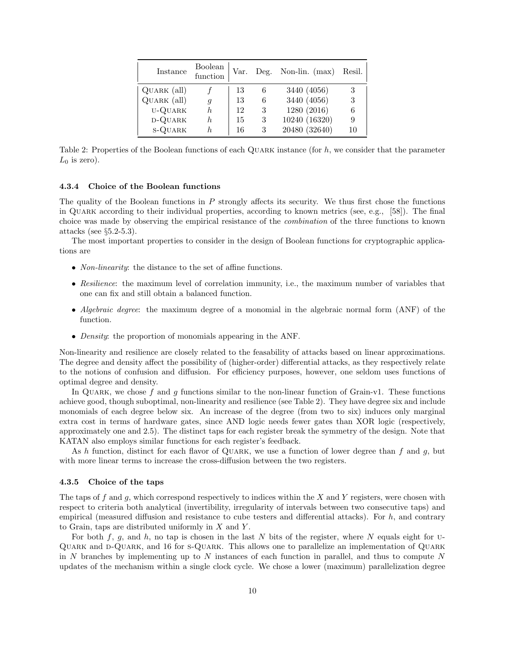| Instance       | Boolean<br>function | Var. |   | Deg. Non-lin. $(max)$ | Resil. |
|----------------|---------------------|------|---|-----------------------|--------|
| Quark (all)    |                     | 13   | 6 | 3440 (4056)           | 3      |
| QUARK (all)    | $\mathfrak{g}$      | 13   | 6 | 3440 (4056)           | 3      |
| U-QUARK        | h.                  | 12   | 3 | 1280 (2016)           | 6      |
| D-QUARK        | h.                  | 15   | 3 | 10240 (16320)         | 9      |
| <b>S-QUARK</b> | h.                  | 16   | 3 | 20480 (32640)         | 10     |

Table 2: Properties of the Boolean functions of each QUARK instance (for  $h$ , we consider that the parameter  $L_0$  is zero).

#### 4.3.4 Choice of the Boolean functions

The quality of the Boolean functions in P strongly affects its security. We thus first chose the functions in Quark according to their individual properties, according to known metrics (see, e.g., [58]). The final choice was made by observing the empirical resistance of the combination of the three functions to known attacks (see §5.2-5.3).

The most important properties to consider in the design of Boolean functions for cryptographic applications are

- *Non-linearity*: the distance to the set of affine functions.
- Resilience: the maximum level of correlation immunity, i.e., the maximum number of variables that one can fix and still obtain a balanced function.
- Algebraic degree: the maximum degree of a monomial in the algebraic normal form (ANF) of the function.
- *Density*: the proportion of monomials appearing in the ANF.

Non-linearity and resilience are closely related to the feasability of attacks based on linear approximations. The degree and density affect the possibility of (higher-order) differential attacks, as they respectively relate to the notions of confusion and diffusion. For efficiency purposes, however, one seldom uses functions of optimal degree and density.

In QUARK, we chose f and q functions similar to the non-linear function of Grain-v1. These functions achieve good, though suboptimal, non-linearity and resilience (see Table 2). They have degree six and include monomials of each degree below six. An increase of the degree (from two to six) induces only marginal extra cost in terms of hardware gates, since AND logic needs fewer gates than XOR logic (respectively, approximately one and 2.5). The distinct taps for each register break the symmetry of the design. Note that KATAN also employs similar functions for each register's feedback.

As h function, distinct for each flavor of QUARK, we use a function of lower degree than f and g, but with more linear terms to increase the cross-diffusion between the two registers.

#### 4.3.5 Choice of the taps

The taps of f and g, which correspond respectively to indices within the X and Y registers, were chosen with respect to criteria both analytical (invertibility, irregularity of intervals between two consecutive taps) and empirical (measured diffusion and resistance to cube testers and differential attacks). For h, and contrary to Grain, taps are distributed uniformly in  $X$  and  $Y$ .

For both f, g, and h, no tap is chosen in the last N bits of the register, where N equals eight for  $U$ -Quark and d-Quark, and 16 for s-Quark. This allows one to parallelize an implementation of Quark in  $N$  branches by implementing up to  $N$  instances of each function in parallel, and thus to compute  $N$ updates of the mechanism within a single clock cycle. We chose a lower (maximum) parallelization degree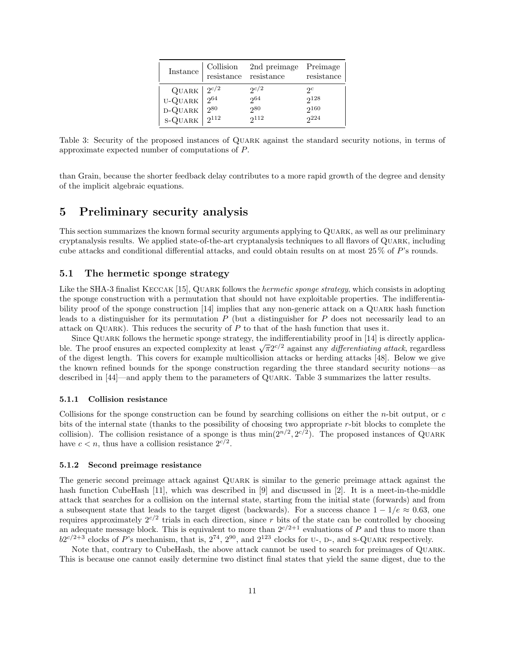| Instance                                           | Collision                           | 2nd preimage                     | Preimage                                         |
|----------------------------------------------------|-------------------------------------|----------------------------------|--------------------------------------------------|
|                                                    | $\rm resistance$                    | resistance                       | resistance                                       |
| QUARK $ 2^{c/2} $<br>U-QUARK<br>D-QUARK<br>s-QUARK | $\frac{1}{2}64$<br>280<br>$2^{112}$ | 2c/2<br>2064<br>280<br>$2^{112}$ | $\mathcal{P}^c$<br>$2^{128}$<br>$2^{160}$<br>224 |

Table 3: Security of the proposed instances of Quark against the standard security notions, in terms of approximate expected number of computations of P.

than Grain, because the shorter feedback delay contributes to a more rapid growth of the degree and density of the implicit algebraic equations.

## 5 Preliminary security analysis

This section summarizes the known formal security arguments applying to Quark, as well as our preliminary cryptanalysis results. We applied state-of-the-art cryptanalysis techniques to all flavors of Quark, including cube attacks and conditional differential attacks, and could obtain results on at most 25 % of P's rounds.

## 5.1 The hermetic sponge strategy

Like the SHA-3 finalist KECCAK [15], QUARK follows the *hermetic sponge strategy*, which consists in adopting the sponge construction with a permutation that should not have exploitable properties. The indifferentiability proof of the sponge construction [14] implies that any non-generic attack on a Quark hash function leads to a distinguisher for its permutation  $P$  (but a distinguisher for  $P$  does not necessarily lead to an attack on QUARK). This reduces the security of  $P$  to that of the hash function that uses it.

Since Quark follows the hermetic sponge strategy, the indifferentiability proof in [14] is directly applicable. The proof ensures an expected complexity at least  $\sqrt{\pi}2^{c/2}$  against any *differentiating attack*, regardless of the digest length. This covers for example multicollision attacks or herding attacks [48]. Below we give the known refined bounds for the sponge construction regarding the three standard security notions—as described in [44]—and apply them to the parameters of Quark. Table 3 summarizes the latter results.

#### 5.1.1 Collision resistance

Collisions for the sponge construction can be found by searching collisions on either the  $n$ -bit output, or  $c$ bits of the internal state (thanks to the possibility of choosing two appropriate r-bit blocks to complete the collision). The collision resistance of a sponge is thus  $\min(2^{n/2}, 2^{c/2})$ . The proposed instances of QUARK have  $c < n$ , thus have a collision resistance  $2^{c/2}$ .

#### 5.1.2 Second preimage resistance

The generic second preimage attack against Quark is similar to the generic preimage attack against the hash function CubeHash [11], which was described in [9] and discussed in [2]. It is a meet-in-the-middle attack that searches for a collision on the internal state, starting from the initial state (forwards) and from a subsequent state that leads to the target digest (backwards). For a success chance  $1 - 1/e \approx 0.63$ , one requires approximately  $2^{c/2}$  trials in each direction, since r bits of the state can be controlled by choosing an adequate message block. This is equivalent to more than  $2^{c/2+1}$  evaluations of P and thus to more than  $b2^{c/2+3}$  clocks of P's mechanism, that is,  $2^{74}$ ,  $2^{90}$ , and  $2^{123}$  clocks for U-, D-, and S-QUARK respectively.

Note that, contrary to CubeHash, the above attack cannot be used to search for preimages of Quark. This is because one cannot easily determine two distinct final states that yield the same digest, due to the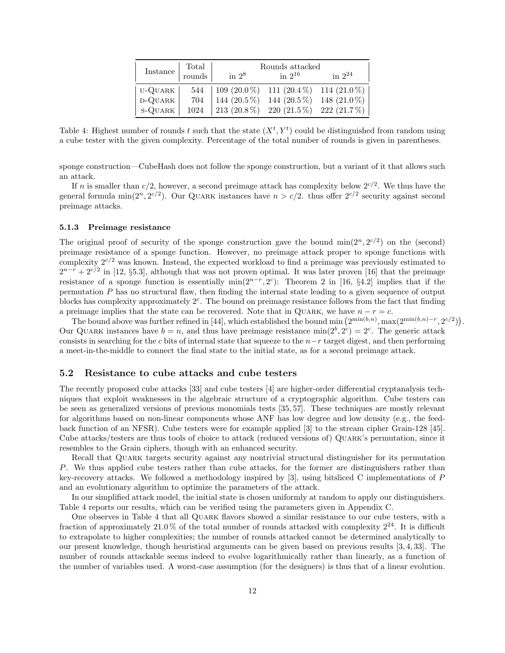|           | Total            | Rounds attacked                           |                |                |  |  |  |  |
|-----------|------------------|-------------------------------------------|----------------|----------------|--|--|--|--|
| Instance  | $\,$ rounds $\,$ | in $2^8$                                  | in $2^{16}$    | in $2^{24}$    |  |  |  |  |
| U-QUARK   |                  | 544   109 (20.0%) 111 (20.4%) 114 (21.0%) |                |                |  |  |  |  |
| D-QUARK   | 704              | 144 $(20.5\%)$                            | 144 $(20.5\%)$ | 148 $(21.0\%)$ |  |  |  |  |
| $S-QUARK$ | 1024             | 213 (20.8 %) 220 (21.5 %) 222 (21.7 %)    |                |                |  |  |  |  |

Table 4: Highest number of rounds t such that the state  $(X^t, Y^t)$  could be distinguished from random using a cube tester with the given complexity. Percentage of the total number of rounds is given in parentheses.

sponge construction—CubeHash does not follow the sponge construction, but a variant of it that allows such an attack.

If n is smaller than  $c/2$ , however, a second preimage attack has complexity below  $2^{c/2}$ . We thus have the general formula min( $2^n, 2^{c/2}$ ). Our QUARK instances have  $n > c/2$ . thus offer  $2^{c/2}$  security against second preimage attacks.

#### 5.1.3 Preimage resistance

The original proof of security of the sponge construction gave the bound  $\min(2^n, 2^{c/2})$  on the (second) preimage resistance of a sponge function. However, no preimage attack proper to sponge functions with complexity  $2^{c/2}$  was known. Instead, the expected workload to find a preimage was previously estimated to  $2^{n-r} + 2^{c/2}$  in [12, §5.3], although that was not proven optimal. It was later proven [16] that the preimage resistance of a sponge function is essentially  $\min(2^{n-r}, 2^c)$ : Theorem 2 in [16, §4.2] implies that if the permutation P has no structural flaw, then finding the internal state leading to a given sequence of output blocks has complexity approximately  $2<sup>c</sup>$ . The bound on preimage resistance follows from the fact that finding a preimage implies that the state can be recovered. Note that in QUARK, we have  $n - r = c$ .

The bound above was further refined in [44], which established the bound min  $(2^{\min(b,n)}, \max(2^{\min(b,n)-r}, 2^{c/2}))$ . Our QUARK instances have  $b = n$ , and thus have preimage resistance  $min(2^b, 2^c) = 2^c$ . The generic attack consists in searching for the c bits of internal state that squeeze to the  $n-r$  target digest, and then performing a meet-in-the-middle to connect the final state to the initial state, as for a second preimage attack.

### 5.2 Resistance to cube attacks and cube testers

The recently proposed cube attacks [33] and cube testers [4] are higher-order differential cryptanalysis techniques that exploit weaknesses in the algebraic structure of a cryptographic algorithm. Cube testers can be seen as generalized versions of previous monomials tests [35, 57]. These techniques are mostly relevant for algorithms based on non-linear components whose ANF has low degree and low density (e.g., the feedback function of an NFSR). Cube testers were for example applied [3] to the stream cipher Grain-128 [45]. Cube attacks/testers are thus tools of choice to attack (reduced versions of) Quark's permutation, since it resembles to the Grain ciphers, though with an enhanced security.

Recall that Quark targets security against any nontrivial structural distinguisher for its permutation P. We thus applied cube testers rather than cube attacks, for the former are distinguishers rather than key-recovery attacks. We followed a methodology inspired by [3], using bitsliced C implementations of P and an evolutionary algorithm to optimize the parameters of the attack.

In our simplified attack model, the initial state is chosen uniformly at random to apply our distinguishers. Table 4 reports our results, which can be verified using the parameters given in Appendix C.

One observes in Table 4 that all Quark flavors showed a similar resistance to our cube testers, with a fraction of approximately  $21.0\%$  of the total number of rounds attacked with complexity  $2^{24}$ . It is difficult to extrapolate to higher complexities; the number of rounds attacked cannot be determined analytically to our present knowledge, though heuristical arguments can be given based on previous results [3, 4, 33]. The number of rounds attackable seems indeed to evolve logarithmically rather than linearly, as a function of the number of variables used. A worst-case assumption (for the designers) is thus that of a linear evolution.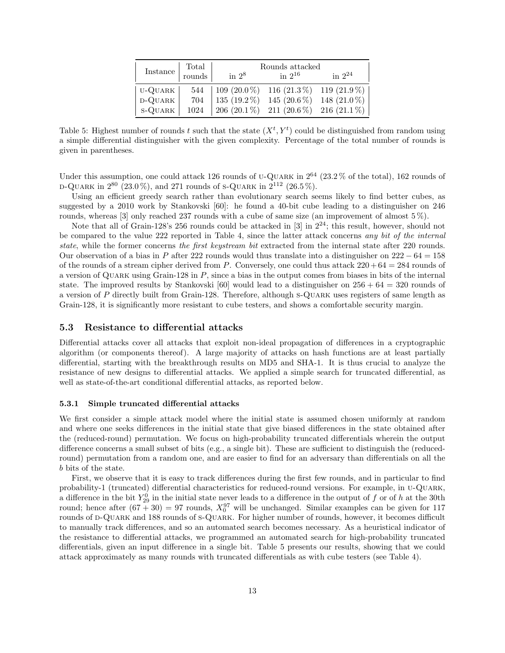|          | Total  | Rounds attacked                              |                                        |                |  |  |  |
|----------|--------|----------------------------------------------|----------------------------------------|----------------|--|--|--|
| Instance | rounds | in $2^8$                                     | in $2^{16}$                            | in $2^{24}$    |  |  |  |
| U-QUARK  |        | 544   109 (20.0 %) 116 (21.3 %) 119 (21.9 %) |                                        |                |  |  |  |
| D-QUARK  | 704    | $135(19.2\%)$                                | $145(20.6\%)$                          | 148 $(21.0\%)$ |  |  |  |
| S-QUARK  | 1024   |                                              | 206 (20.1 %) 211 (20.6 %) 216 (21.1 %) |                |  |  |  |

Table 5: Highest number of rounds t such that the state  $(X^t, Y^t)$  could be distinguished from random using a simple differential distinguisher with the given complexity. Percentage of the total number of rounds is given in parentheses.

Under this assumption, one could attack 126 rounds of U-QUARK in  $2^{64}$  (23.2% of the total), 162 rounds of D-QUARK in  $2^{80}$  (23.0%), and 271 rounds of S-QUARK in  $2^{112}$  (26.5%).

Using an efficient greedy search rather than evolutionary search seems likely to find better cubes, as suggested by a 2010 work by Stankovski [60]: he found a 40-bit cube leading to a distinguisher on 246 rounds, whereas [3] only reached 237 rounds with a cube of same size (an improvement of almost 5%).

Note that all of Grain-128's 256 rounds could be attacked in [3] in  $2^{24}$ ; this result, however, should not be compared to the value 222 reported in Table 4, since the latter attack concerns any bit of the internal state, while the former concerns the first keystream bit extracted from the internal state after 220 rounds. Our observation of a bias in P after 222 rounds would thus translate into a distinguisher on  $222 - 64 = 158$ of the rounds of a stream cipher derived from P. Conversely, one could thus attack  $220 + 64 = 284$  rounds of a version of Quark using Grain-128 in P, since a bias in the output comes from biases in bits of the internal state. The improved results by Stankovski [60] would lead to a distinguisher on  $256 + 64 = 320$  rounds of a version of P directly built from Grain-128. Therefore, although s-Quark uses registers of same length as Grain-128, it is significantly more resistant to cube testers, and shows a comfortable security margin.

## 5.3 Resistance to differential attacks

Differential attacks cover all attacks that exploit non-ideal propagation of differences in a cryptographic algorithm (or components thereof). A large majority of attacks on hash functions are at least partially differential, starting with the breakthrough results on MD5 and SHA-1. It is thus crucial to analyze the resistance of new designs to differential attacks. We applied a simple search for truncated differential, as well as state-of-the-art conditional differential attacks, as reported below.

#### 5.3.1 Simple truncated differential attacks

We first consider a simple attack model where the initial state is assumed chosen uniformly at random and where one seeks differences in the initial state that give biased differences in the state obtained after the (reduced-round) permutation. We focus on high-probability truncated differentials wherein the output difference concerns a small subset of bits (e.g., a single bit). These are sufficient to distinguish the (reducedround) permutation from a random one, and are easier to find for an adversary than differentials on all the b bits of the state.

First, we observe that it is easy to track differences during the first few rounds, and in particular to find probability-1 (truncated) differential characteristics for reduced-round versions. For example, in u-Quark, a difference in the bit  $Y_{29}^0$  in the initial state never leads to a difference in the output of f or of h at the 30th round; hence after  $(67 + 30) = 97$  rounds,  $X_0^{97}$  will be unchanged. Similar examples can be given for 117 rounds of D-QUARK and 188 rounds of s-QUARK. For higher number of rounds, however, it becomes difficult to manually track differences, and so an automated search becomes necessary. As a heuristical indicator of the resistance to differential attacks, we programmed an automated search for high-probability truncated differentials, given an input difference in a single bit. Table 5 presents our results, showing that we could attack approximately as many rounds with truncated differentials as with cube testers (see Table 4).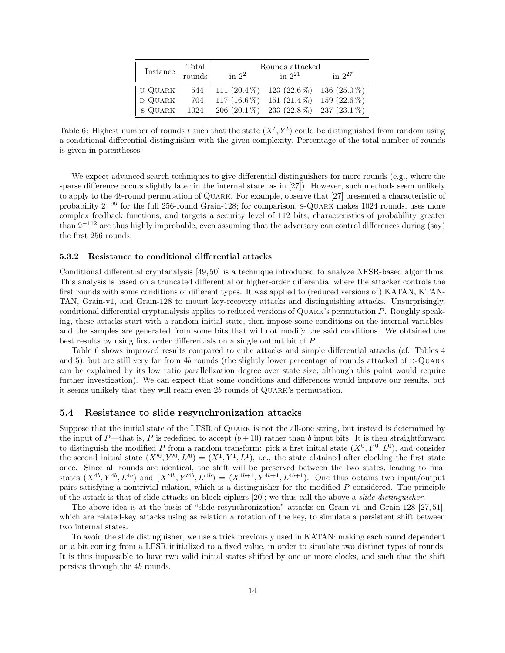| Instance  | Total  |                                              | Rounds attacked                        |                |
|-----------|--------|----------------------------------------------|----------------------------------------|----------------|
|           | rounds | in $2^2$                                     | in $2^{21}$                            | in $2^{27}$    |
| U-QUARK   |        | 544   111 (20.4 %) 123 (22.6 %) 136 (25.0 %) |                                        |                |
| D-QUARK   | 704    | $117(16.6\%)$                                | 151 $(21.4\%)$                         | 159 $(22.6\%)$ |
| $S-QUARK$ | 1024   |                                              | 206 (20.1 %) 233 (22.8 %) 237 (23.1 %) |                |

Table 6: Highest number of rounds t such that the state  $(X^t, Y^t)$  could be distinguished from random using a conditional differential distinguisher with the given complexity. Percentage of the total number of rounds is given in parentheses.

We expect advanced search techniques to give differential distinguishers for more rounds (e.g., where the sparse difference occurs slightly later in the internal state, as in [27]). However, such methods seem unlikely to apply to the 4b-round permutation of Quark. For example, observe that [27] presented a characteristic of probability 2−<sup>96</sup> for the full 256-round Grain-128; for comparison, s-Quark makes 1024 rounds, uses more complex feedback functions, and targets a security level of 112 bits; characteristics of probability greater than  $2^{-112}$  are thus highly improbable, even assuming that the adversary can control differences during (say) the first 256 rounds.

### 5.3.2 Resistance to conditional differential attacks

Conditional differential cryptanalysis [49, 50] is a technique introduced to analyze NFSR-based algorithms. This analysis is based on a truncated differential or higher-order differential where the attacker controls the first rounds with some conditions of different types. It was applied to (reduced versions of) KATAN, KTAN-TAN, Grain-v1, and Grain-128 to mount key-recovery attacks and distinguishing attacks. Unsurprisingly, conditional differential cryptanalysis applies to reduced versions of Quark's permutation P. Roughly speaking, these attacks start with a random initial state, then impose some conditions on the internal variables, and the samples are generated from some bits that will not modify the said conditions. We obtained the best results by using first order differentials on a single output bit of P.

Table 6 shows improved results compared to cube attacks and simple differential attacks (cf. Tables 4 and 5), but are still very far from 4b rounds (the slightly lower percentage of rounds attacked of  $D-QUARK$ can be explained by its low ratio parallelization degree over state size, although this point would require further investigation). We can expect that some conditions and differences would improve our results, but it seems unlikely that they will reach even 2b rounds of Quark's permutation.

## 5.4 Resistance to slide resynchronization attacks

Suppose that the initial state of the LFSR of Quark is not the all-one string, but instead is determined by the input of P—that is, P is redefined to accept  $(b+10)$  rather than b input bits. It is then straightforward to distinguish the modified P from a random transform: pick a first initial state  $(X^0, Y^0, L^0)$ , and consider the second initial state  $(X^{0}, Y^{0}, L^{0}) = (X^{1}, Y^{1}, L^{1}),$  i.e., the state obtained after clocking the first state once. Since all rounds are identical, the shift will be preserved between the two states, leading to final states  $(X^{4b}, Y^{4b}, L^{4b})$  and  $(X^{4b}, Y^{4b}, L^{4b}) = (X^{4b+1}, Y^{4b+1}, L^{4b+1})$ . One thus obtains two input/output pairs satisfying a nontrivial relation, which is a distinguisher for the modified P considered. The principle of the attack is that of slide attacks on block ciphers [20]; we thus call the above a slide distinguisher.

The above idea is at the basis of "slide resynchronization" attacks on Grain-v1 and Grain-128 [27, 51], which are related-key attacks using as relation a rotation of the key, to simulate a persistent shift between two internal states.

To avoid the slide distinguisher, we use a trick previously used in KATAN: making each round dependent on a bit coming from a LFSR initialized to a fixed value, in order to simulate two distinct types of rounds. It is thus impossible to have two valid initial states shifted by one or more clocks, and such that the shift persists through the 4b rounds.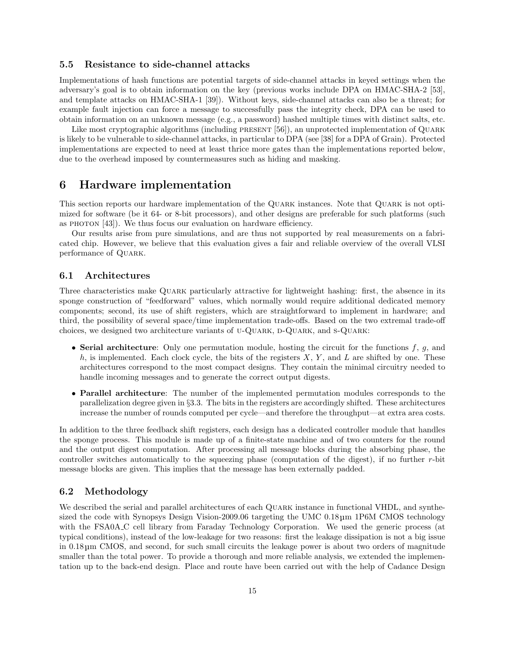## 5.5 Resistance to side-channel attacks

Implementations of hash functions are potential targets of side-channel attacks in keyed settings when the adversary's goal is to obtain information on the key (previous works include DPA on HMAC-SHA-2 [53], and template attacks on HMAC-SHA-1 [39]). Without keys, side-channel attacks can also be a threat; for example fault injection can force a message to successfully pass the integrity check, DPA can be used to obtain information on an unknown message (e.g., a password) hashed multiple times with distinct salts, etc.

Like most cryptographic algorithms (including PRESENT [56]), an unprotected implementation of QUARK is likely to be vulnerable to side-channel attacks, in particular to DPA (see [38] for a DPA of Grain). Protected implementations are expected to need at least thrice more gates than the implementations reported below, due to the overhead imposed by countermeasures such as hiding and masking.

## 6 Hardware implementation

This section reports our hardware implementation of the Quark instances. Note that Quark is not optimized for software (be it 64- or 8-bit processors), and other designs are preferable for such platforms (such as PHOTON  $[43]$ . We thus focus our evaluation on hardware efficiency.

Our results arise from pure simulations, and are thus not supported by real measurements on a fabricated chip. However, we believe that this evaluation gives a fair and reliable overview of the overall VLSI performance of QUARK.

## 6.1 Architectures

Three characteristics make Quark particularly attractive for lightweight hashing: first, the absence in its sponge construction of "feedforward" values, which normally would require additional dedicated memory components; second, its use of shift registers, which are straightforward to implement in hardware; and third, the possibility of several space/time implementation trade-offs. Based on the two extremal trade-off choices, we designed two architecture variants of U-QUARK, D-QUARK, and S-QUARK:

- Serial architecture: Only one permutation module, hosting the circuit for the functions  $f, g$ , and  $h$ , is implemented. Each clock cycle, the bits of the registers  $X$ ,  $Y$ , and  $L$  are shifted by one. These architectures correspond to the most compact designs. They contain the minimal circuitry needed to handle incoming messages and to generate the correct output digests.
- Parallel architecture: The number of the implemented permutation modules corresponds to the parallelization degree given in §3.3. The bits in the registers are accordingly shifted. These architectures increase the number of rounds computed per cycle—and therefore the throughput—at extra area costs.

In addition to the three feedback shift registers, each design has a dedicated controller module that handles the sponge process. This module is made up of a finite-state machine and of two counters for the round and the output digest computation. After processing all message blocks during the absorbing phase, the controller switches automatically to the squeezing phase (computation of the digest), if no further r-bit message blocks are given. This implies that the message has been externally padded.

## 6.2 Methodology

We described the serial and parallel architectures of each QUARK instance in functional VHDL, and synthesized the code with Synopsys Design Vision-2009.06 targeting the UMC 0.18  $\mu$ m 1P6M CMOS technology with the FSA0A C cell library from Faraday Technology Corporation. We used the generic process (at typical conditions), instead of the low-leakage for two reasons: first the leakage dissipation is not a big issue in 0.18 µm CMOS, and second, for such small circuits the leakage power is about two orders of magnitude smaller than the total power. To provide a thorough and more reliable analysis, we extended the implementation up to the back-end design. Place and route have been carried out with the help of Cadance Design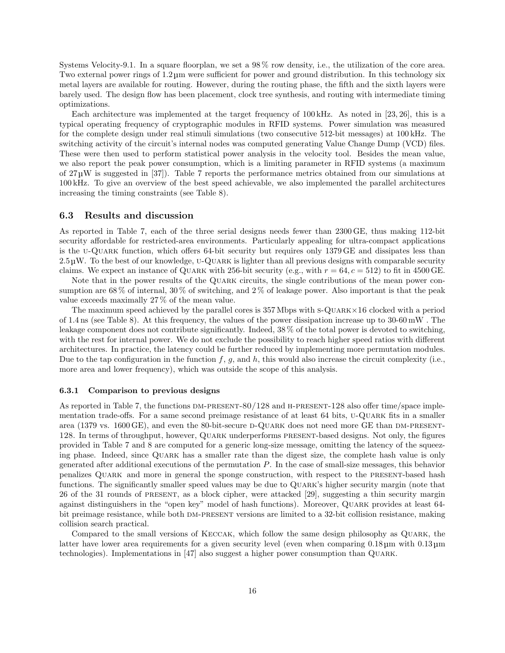Systems Velocity-9.1. In a square floorplan, we set a 98 % row density, i.e., the utilization of the core area. Two external power rings of 1.2 µm were sufficient for power and ground distribution. In this technology six metal layers are available for routing. However, during the routing phase, the fifth and the sixth layers were barely used. The design flow has been placement, clock tree synthesis, and routing with intermediate timing optimizations.

Each architecture was implemented at the target frequency of 100 kHz. As noted in [23, 26], this is a typical operating frequency of cryptographic modules in RFID systems. Power simulation was measured for the complete design under real stimuli simulations (two consecutive 512-bit messages) at 100 kHz. The switching activity of the circuit's internal nodes was computed generating Value Change Dump (VCD) files. These were then used to perform statistical power analysis in the velocity tool. Besides the mean value, we also report the peak power consumption, which is a limiting parameter in RFID systems (a maximum of 27 µW is suggested in [37]). Table 7 reports the performance metrics obtained from our simulations at 100 kHz. To give an overview of the best speed achievable, we also implemented the parallel architectures increasing the timing constraints (see Table 8).

## 6.3 Results and discussion

As reported in Table 7, each of the three serial designs needs fewer than 2300 GE, thus making 112-bit security affordable for restricted-area environments. Particularly appealing for ultra-compact applications is the u-Quark function, which offers 64-bit security but requires only 1379 GE and dissipates less than  $2.5 \,\mu$ W. To the best of our knowledge, U-QUARK is lighter than all previous designs with comparable security claims. We expect an instance of QUARK with 256-bit security (e.g., with  $r = 64$ ,  $c = 512$ ) to fit in 4500 GE.

Note that in the power results of the Quark circuits, the single contributions of the mean power consumption are 68 % of internal, 30 % of switching, and 2 % of leakage power. Also important is that the peak value exceeds maximally 27 % of the mean value.

The maximum speed achieved by the parallel cores is 357 Mbps with s-Quark×16 clocked with a period of 1.4 ns (see Table 8). At this frequency, the values of the power dissipation increase up to 30-60 mW . The leakage component does not contribute significantly. Indeed, 38 % of the total power is devoted to switching, with the rest for internal power. We do not exclude the possibility to reach higher speed ratios with different architectures. In practice, the latency could be further reduced by implementing more permutation modules. Due to the tap configuration in the function f, g, and h, this would also increase the circuit complexity (i.e., more area and lower frequency), which was outside the scope of this analysis.

### 6.3.1 Comparison to previous designs

As reported in Table 7, the functions  $DM-PRESENT-80/128$  and  $H-PRESENT-128$  also offer time/space implementation trade-offs. For a same second preimage resistance of at least 64 bits, u-Quark fits in a smaller area (1379 vs. 1600 GE), and even the 80-bit-secure D-QUARK does not need more GE than DM-PRESENT-128. In terms of throughput, however, Quark underperforms present-based designs. Not only, the figures provided in Table 7 and 8 are computed for a generic long-size message, omitting the latency of the squeezing phase. Indeed, since Quark has a smaller rate than the digest size, the complete hash value is only generated after additional executions of the permutation P. In the case of small-size messages, this behavior penalizes Quark and more in general the sponge construction, with respect to the present-based hash functions. The significantly smaller speed values may be due to Quark's higher security margin (note that 26 of the 31 rounds of present, as a block cipher, were attacked [29], suggesting a thin security margin against distinguishers in the "open key" model of hash functions). Moreover, Quark provides at least 64 bit preimage resistance, while both DM-PRESENT versions are limited to a 32-bit collision resistance, making collision search practical.

Compared to the small versions of Keccak, which follow the same design philosophy as Quark, the latter have lower area requirements for a given security level (even when comparing 0.18 µm with 0.13 µm technologies). Implementations in  $|47|$  also suggest a higher power consumption than QUARK.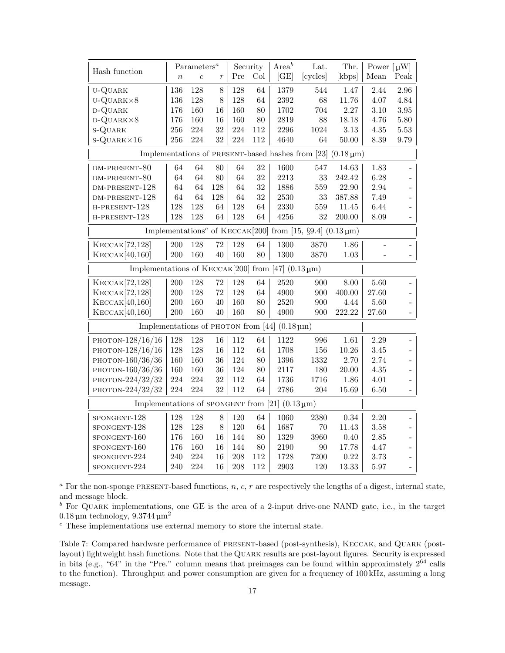|                                                                                |                | $\mathrm{Parameters}^a$ |                  |        | Security | Area <sup>b</sup>                                               | Lat.                                                                                                | Thr.      | Power $\lceil \mu W \rceil$ |                          |
|--------------------------------------------------------------------------------|----------------|-------------------------|------------------|--------|----------|-----------------------------------------------------------------|-----------------------------------------------------------------------------------------------------|-----------|-----------------------------|--------------------------|
| Hash function                                                                  | $\overline{n}$ | $\overline{c}$          | $\boldsymbol{r}$ | Pre    | Col      | [GE]                                                            | [cycles]                                                                                            | [kbps]    | Mean                        | Peak                     |
| U-QUARK                                                                        | 136            | 128                     | 8                | 128    | 64       | 1379                                                            | 544                                                                                                 | 1.47      | 2.44                        | 2.96                     |
| $U-QUARK\times 8$                                                              | 136            | 128                     | 8                | 128    | 64       | 2392                                                            | 68                                                                                                  | 11.76     | 4.07                        | 4.84                     |
| D-QUARK                                                                        | 176            | 160                     | 16               | 160    | 80       | 1702                                                            | 704                                                                                                 | 2.27      | 3.10                        | $3.95\,$                 |
| $D-QUARK\times 8$                                                              | 176            | 160                     | 16               | 160    | 80       | 2819                                                            | 88                                                                                                  | 18.18     | 4.76                        | 5.80                     |
| <b>S-QUARK</b>                                                                 | 256            | 224                     | 32               | 224    | 112      | 2296                                                            | 1024                                                                                                | 3.13      | $4.35\,$                    | $5.53\,$                 |
| $S-QUARK \times 16$                                                            | 256            | 224                     | 32               | 224    | 112      | 4640                                                            | 64                                                                                                  | $50.00\,$ | 8.39                        | 9.79                     |
| Implementations of PRESENT-based hashes from [23]<br>$(0.18 \,\mathrm{\mu m})$ |                |                         |                  |        |          |                                                                 |                                                                                                     |           |                             |                          |
| DM-PRESENT-80                                                                  | 64             | 64                      | 80               | $64\,$ | $32\,$   | 1600                                                            | 547                                                                                                 | 14.63     | 1.83                        |                          |
| DM-PRESENT-80                                                                  | 64             | 64                      | 80               | 64     | 32       | 2213                                                            | 33                                                                                                  | 242.42    | 6.28                        |                          |
| DM-PRESENT-128                                                                 | 64             | 64                      | 128              | 64     | 32       | 1886                                                            | 559                                                                                                 | 22.90     | 2.94                        |                          |
| DM-PRESENT-128                                                                 | 64             | 64                      | 128              | 64     | 32       | 2530                                                            | 33                                                                                                  | 387.88    | 7.49                        |                          |
| H-PRESENT-128                                                                  | 128            | 128                     | 64               | 128    | 64       | 2330                                                            | 559                                                                                                 | 11.45     | 6.44                        |                          |
| H-PRESENT-128                                                                  | 128            | 128                     | 64               | 128    | 64       | 4256                                                            | 32                                                                                                  | 200.00    | 8.09                        |                          |
|                                                                                |                |                         |                  |        |          |                                                                 | Implementations <sup>c</sup> of KECCAK <sup>[200]</sup> from [15, §9.4] $(0.13 \,\mathrm{\upmu m})$ |           |                             |                          |
| KECCAK <sup>[72,128]</sup>                                                     | 200            | 128                     | 72               | 128    | 64       | 1300                                                            | 3870                                                                                                | 1.86      |                             |                          |
| KECCAK[40,160]                                                                 | 200            | 160                     | 40               | 160    | 80       | 1300                                                            | 3870                                                                                                | 1.03      |                             |                          |
| Implementations of $KECCAK[200]$ from [47] (0.13 µm)                           |                |                         |                  |        |          |                                                                 |                                                                                                     |           |                             |                          |
| KECCAK <sup>[72,128]</sup>                                                     | 200            | 128                     | 72               | 128    | 64       | 2520                                                            | 900                                                                                                 | 8.00      | 5.60                        |                          |
| KECCAK <sup>[72,128]</sup>                                                     | 200            | 128                     | 72               | 128    | 64       | 4900                                                            | 900                                                                                                 | 400.00    | 27.60                       | $\overline{\phantom{0}}$ |
| KECCAK[40,160]                                                                 | $200\,$        | 160                     | 40               | 160    | $80\,$   | 2520                                                            | 900                                                                                                 | 4.44      | 5.60                        | $\overline{\phantom{0}}$ |
| KECCAK[40,160]                                                                 | $200\,$        | 160                     | 40               | 160    | 80       | 4900                                                            | 900                                                                                                 | 222.22    | 27.60                       |                          |
|                                                                                |                |                         |                  |        |          | Implementations of PHOTON from [44] $(0.18 \,\mathrm{\upmu m})$ |                                                                                                     |           |                             |                          |
| PHOTON-128/16/16                                                               | 128            | 128                     | 16               | 112    | 64       | 1122                                                            | 996                                                                                                 | $1.61\,$  | 2.29                        |                          |
| PHOTON-128/16/16                                                               | 128            | 128                     | 16               | 112    | 64       | 1708                                                            | 156                                                                                                 | 10.26     | 3.45                        |                          |
| PHOTON-160/36/36                                                               | 160            | 160                     | 36               | 124    | 80       | 1396                                                            | 1332                                                                                                | 2.70      | 2.74                        | $\overline{\phantom{0}}$ |
| PHOTON-160/36/36                                                               | 160            | 160                     | 36               | 124    | 80       | 2117                                                            | 180                                                                                                 | 20.00     | 4.35                        | $\overline{a}$           |
| PHOTON-224/32/32                                                               | 224            | 224                     | 32               | 112    | 64       | 1736                                                            | 1716                                                                                                | 1.86      | 4.01                        |                          |
| PHOTON-224/32/32                                                               | 224            | 224                     | 32               | 112    | 64       | 2786                                                            | 204                                                                                                 | 15.69     | 6.50                        |                          |
| Implementations of SPONGENT from [21] $(0.13 \,\mathrm{\upmu m})$              |                |                         |                  |        |          |                                                                 |                                                                                                     |           |                             |                          |
| SPONGENT-128                                                                   | 128            | 128                     | $8\,$            | 120    | 64       | 1060                                                            | 2380                                                                                                | 0.34      | 2.20                        |                          |
| SPONGENT-128                                                                   | 128            | 128                     | 8                | 120    | 64       | 1687                                                            | 70                                                                                                  | 11.43     | 3.58                        |                          |
| SPONGENT-160                                                                   | 176            | 160                     | 16               | 144    | 80       | 1329                                                            | 3960                                                                                                | 0.40      | 2.85                        | $\overline{a}$           |
| SPONGENT-160                                                                   | 176            | 160                     | 16               | 144    | 80       | 2190                                                            | 90                                                                                                  | 17.78     | 4.47                        | $\overline{a}$           |
| SPONGENT-224                                                                   | 240            | 224                     | 16               | 208    | 112      | 1728                                                            | 7200                                                                                                | 0.22      | 3.73                        |                          |
| SPONGENT-224                                                                   | 240            | 224                     | 16               | 208    | 112      | 2903                                                            | 120                                                                                                 | 13.33     | 5.97                        |                          |

 $a$  For the non-sponge PRESENT-based functions,  $n, c, r$  are respectively the lengths of a digest, internal state, and message block.

 $b$  For QUARK implementations, one GE is the area of a 2-input drive-one NAND gate, i.e., in the target  $0.18 \,\mathrm{\upmu m}$  technology,  $9.3744 \,\mathrm{\upmu m}^2$ 

<sup>c</sup> These implementations use external memory to store the internal state.

Table 7: Compared hardware performance of present-based (post-synthesis), Keccak, and Quark (postlayout) lightweight hash functions. Note that the Quark results are post-layout figures. Security is expressed in bits (e.g., " $64$ " in the "Pre." column means that preimages can be found within approximately  $2^{64}$  calls to the function). Throughput and power consumption are given for a frequency of 100 kHz, assuming a long message.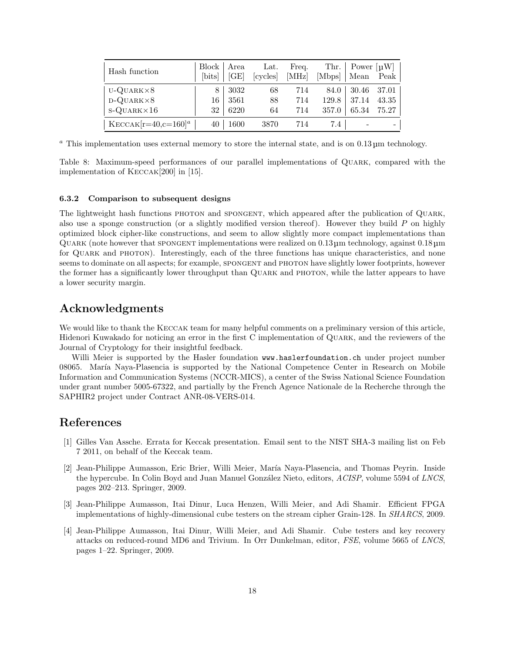| Hash function                        | Block   Area<br>[bits] | [GE]         | Lat.<br>cycles | Freq.<br>[MHz] | [Mbps]        | Thr. $\vert$ Power $\vert \mu W \vert$<br>Mean | Peak           |
|--------------------------------------|------------------------|--------------|----------------|----------------|---------------|------------------------------------------------|----------------|
| $U-QUARK\times8$<br>$D-QUARK\times8$ | 8<br>16                | 3032<br>3561 | 68<br>88       | 714<br>714     | 84.0<br>129.8 | 30.46<br>37.14                                 | 37.01<br>43.35 |
| $S-QUARK \times 16$                  | 32                     | 6220         | 64             | 714            | 357.0         | 65.34                                          | 75.27          |
| $KECCAK[r=40,c=160]^{a}$             | 40                     | 1600         | 3870           | 714            | 7.4           |                                                |                |

<sup>a</sup> This implementation uses external memory to store the internal state, and is on  $0.13 \mu$ m technology.

Table 8: Maximum-speed performances of our parallel implementations of Quark, compared with the implementation of Keccak[200] in [15].

## 6.3.2 Comparison to subsequent designs

The lightweight hash functions PHOTON and SPONGENT, which appeared after the publication of QUARK, also use a sponge construction (or a slightly modified version thereof). However they build  $P$  on highly optimized block cipher-like constructions, and seem to allow slightly more compact implementations than Quark (note however that spongent implementations were realized on 0.13 µm technology, against 0.18 µm for Quark and photon). Interestingly, each of the three functions has unique characteristics, and none seems to dominate on all aspects; for example, SPONGENT and PHOTON have slightly lower footprints, however the former has a significantly lower throughput than QUARK and PHOTON, while the latter appears to have a lower security margin.

## Acknowledgments

We would like to thank the KECCAK team for many helpful comments on a preliminary version of this article, Hidenori Kuwakado for noticing an error in the first C implementation of Quark, and the reviewers of the Journal of Cryptology for their insightful feedback.

Willi Meier is supported by the Hasler foundation www.haslerfoundation.ch under project number 08065. María Naya-Plasencia is supported by the National Competence Center in Research on Mobile Information and Communication Systems (NCCR-MICS), a center of the Swiss National Science Foundation under grant number 5005-67322, and partially by the French Agence Nationale de la Recherche through the SAPHIR2 project under Contract ANR-08-VERS-014.

## References

- [1] Gilles Van Assche. Errata for Keccak presentation. Email sent to the NIST SHA-3 mailing list on Feb 7 2011, on behalf of the Keccak team.
- [2] Jean-Philippe Aumasson, Eric Brier, Willi Meier, María Naya-Plasencia, and Thomas Peyrin. Inside the hypercube. In Colin Boyd and Juan Manuel González Nieto, editors, ACISP, volume 5594 of LNCS, pages 202–213. Springer, 2009.
- [3] Jean-Philippe Aumasson, Itai Dinur, Luca Henzen, Willi Meier, and Adi Shamir. Efficient FPGA implementations of highly-dimensional cube testers on the stream cipher Grain-128. In SHARCS, 2009.
- [4] Jean-Philippe Aumasson, Itai Dinur, Willi Meier, and Adi Shamir. Cube testers and key recovery attacks on reduced-round MD6 and Trivium. In Orr Dunkelman, editor, FSE, volume 5665 of LNCS, pages 1–22. Springer, 2009.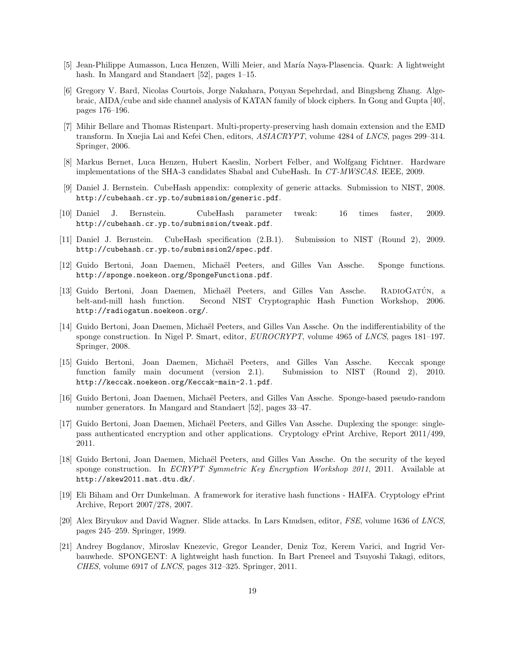- [5] Jean-Philippe Aumasson, Luca Henzen, Willi Meier, and Mar´ıa Naya-Plasencia. Quark: A lightweight hash. In Mangard and Standaert [52], pages 1–15.
- [6] Gregory V. Bard, Nicolas Courtois, Jorge Nakahara, Pouyan Sepehrdad, and Bingsheng Zhang. Algebraic, AIDA/cube and side channel analysis of KATAN family of block ciphers. In Gong and Gupta [40], pages 176–196.
- [7] Mihir Bellare and Thomas Ristenpart. Multi-property-preserving hash domain extension and the EMD transform. In Xuejia Lai and Kefei Chen, editors, ASIACRYPT, volume 4284 of LNCS, pages 299–314. Springer, 2006.
- [8] Markus Bernet, Luca Henzen, Hubert Kaeslin, Norbert Felber, and Wolfgang Fichtner. Hardware implementations of the SHA-3 candidates Shabal and CubeHash. In CT-MWSCAS. IEEE, 2009.
- [9] Daniel J. Bernstein. CubeHash appendix: complexity of generic attacks. Submission to NIST, 2008. http://cubehash.cr.yp.to/submission/generic.pdf.
- [10] Daniel J. Bernstein. CubeHash parameter tweak: 16 times faster, 2009. http://cubehash.cr.yp.to/submission/tweak.pdf.
- [11] Daniel J. Bernstein. CubeHash specification (2.B.1). Submission to NIST (Round 2), 2009. http://cubehash.cr.yp.to/submission2/spec.pdf.
- [12] Guido Bertoni, Joan Daemen, Michaël Peeters, and Gilles Van Assche. Sponge functions. http://sponge.noekeon.org/SpongeFunctions.pdf.
- [13] Guido Bertoni, Joan Daemen, Michaël Peeters, and Gilles Van Assche. RADIOGATÚN, a belt-and-mill hash function. Second NIST Cryptographic Hash Function Workshop, 2006. http://radiogatun.noekeon.org/.
- [14] Guido Bertoni, Joan Daemen, Michaël Peeters, and Gilles Van Assche. On the indifferentiability of the sponge construction. In Nigel P. Smart, editor, EUROCRYPT, volume 4965 of LNCS, pages 181–197. Springer, 2008.
- [15] Guido Bertoni, Joan Daemen, Michaël Peeters, and Gilles Van Assche. Keccak sponge function family main document (version 2.1). Submission to NIST (Round 2), 2010. http://keccak.noekeon.org/Keccak-main-2.1.pdf.
- [16] Guido Bertoni, Joan Daemen, Michaël Peeters, and Gilles Van Assche. Sponge-based pseudo-random number generators. In Mangard and Standaert [52], pages 33–47.
- [17] Guido Bertoni, Joan Daemen, Michaël Peeters, and Gilles Van Assche. Duplexing the sponge: singlepass authenticated encryption and other applications. Cryptology ePrint Archive, Report 2011/499, 2011.
- [18] Guido Bertoni, Joan Daemen, Michaël Peeters, and Gilles Van Assche. On the security of the keyed sponge construction. In *ECRYPT Symmetric Key Encryption Workshop 2011*, 2011. Available at http://skew2011.mat.dtu.dk/.
- [19] Eli Biham and Orr Dunkelman. A framework for iterative hash functions HAIFA. Cryptology ePrint Archive, Report 2007/278, 2007.
- [20] Alex Biryukov and David Wagner. Slide attacks. In Lars Knudsen, editor, FSE, volume 1636 of LNCS, pages 245–259. Springer, 1999.
- [21] Andrey Bogdanov, Miroslav Knezevic, Gregor Leander, Deniz Toz, Kerem Varici, and Ingrid Verbauwhede. SPONGENT: A lightweight hash function. In Bart Preneel and Tsuyoshi Takagi, editors, CHES, volume 6917 of LNCS, pages 312–325. Springer, 2011.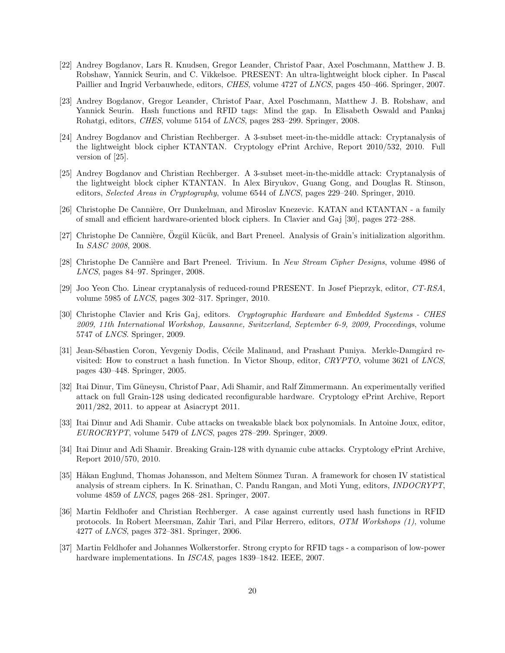- [22] Andrey Bogdanov, Lars R. Knudsen, Gregor Leander, Christof Paar, Axel Poschmann, Matthew J. B. Robshaw, Yannick Seurin, and C. Vikkelsoe. PRESENT: An ultra-lightweight block cipher. In Pascal Paillier and Ingrid Verbauwhede, editors, CHES, volume 4727 of LNCS, pages 450–466. Springer, 2007.
- [23] Andrey Bogdanov, Gregor Leander, Christof Paar, Axel Poschmann, Matthew J. B. Robshaw, and Yannick Seurin. Hash functions and RFID tags: Mind the gap. In Elisabeth Oswald and Pankaj Rohatgi, editors, CHES, volume 5154 of LNCS, pages 283–299. Springer, 2008.
- [24] Andrey Bogdanov and Christian Rechberger. A 3-subset meet-in-the-middle attack: Cryptanalysis of the lightweight block cipher KTANTAN. Cryptology ePrint Archive, Report 2010/532, 2010. Full version of [25].
- [25] Andrey Bogdanov and Christian Rechberger. A 3-subset meet-in-the-middle attack: Cryptanalysis of the lightweight block cipher KTANTAN. In Alex Biryukov, Guang Gong, and Douglas R. Stinson, editors, Selected Areas in Cryptography, volume 6544 of LNCS, pages 229–240. Springer, 2010.
- [26] Christophe De Cannière, Orr Dunkelman, and Miroslav Knezevic. KATAN and KTANTAN a family of small and efficient hardware-oriented block ciphers. In Clavier and Gaj [30], pages 272–288.
- [27] Christophe De Cannière, Özgül Kücük, and Bart Preneel. Analysis of Grain's initialization algorithm. In SASC 2008, 2008.
- [28] Christophe De Cannière and Bart Preneel. Trivium. In New Stream Cipher Designs, volume 4986 of LNCS, pages 84–97. Springer, 2008.
- [29] Joo Yeon Cho. Linear cryptanalysis of reduced-round PRESENT. In Josef Pieprzyk, editor, CT-RSA, volume 5985 of LNCS, pages 302–317. Springer, 2010.
- [30] Christophe Clavier and Kris Gaj, editors. Cryptographic Hardware and Embedded Systems CHES 2009, 11th International Workshop, Lausanne, Switzerland, September 6-9, 2009, Proceedings, volume 5747 of LNCS. Springer, 2009.
- [31] Jean-Sébastien Coron, Yevgeniy Dodis, Cécile Malinaud, and Prashant Puniya. Merkle-Damgård revisited: How to construct a hash function. In Victor Shoup, editor, CRYPTO, volume 3621 of LNCS, pages 430–448. Springer, 2005.
- [32] Itai Dinur, Tim G¨uneysu, Christof Paar, Adi Shamir, and Ralf Zimmermann. An experimentally verified attack on full Grain-128 using dedicated reconfigurable hardware. Cryptology ePrint Archive, Report 2011/282, 2011. to appear at Asiacrypt 2011.
- [33] Itai Dinur and Adi Shamir. Cube attacks on tweakable black box polynomials. In Antoine Joux, editor, EUROCRYPT, volume 5479 of LNCS, pages 278–299. Springer, 2009.
- [34] Itai Dinur and Adi Shamir. Breaking Grain-128 with dynamic cube attacks. Cryptology ePrint Archive, Report 2010/570, 2010.
- [35] Håkan Englund, Thomas Johansson, and Meltem Sönmez Turan. A framework for chosen IV statistical analysis of stream ciphers. In K. Srinathan, C. Pandu Rangan, and Moti Yung, editors, INDOCRYPT, volume 4859 of LNCS, pages 268–281. Springer, 2007.
- [36] Martin Feldhofer and Christian Rechberger. A case against currently used hash functions in RFID protocols. In Robert Meersman, Zahir Tari, and Pilar Herrero, editors, OTM Workshops (1), volume 4277 of LNCS, pages 372–381. Springer, 2006.
- [37] Martin Feldhofer and Johannes Wolkerstorfer. Strong crypto for RFID tags a comparison of low-power hardware implementations. In *ISCAS*, pages 1839–1842. IEEE, 2007.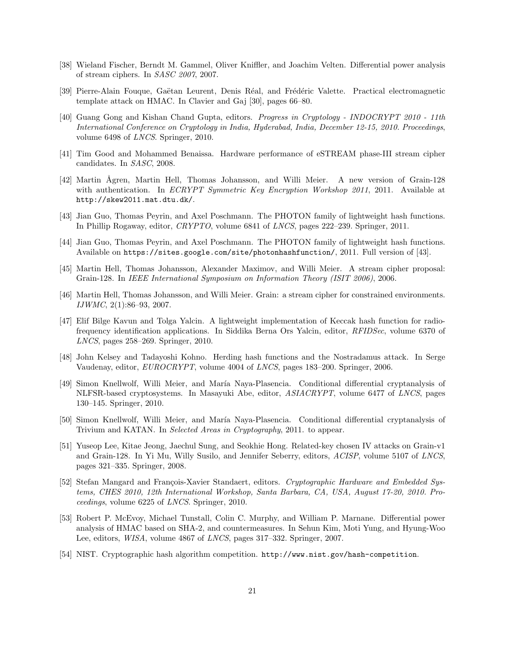- [38] Wieland Fischer, Berndt M. Gammel, Oliver Kniffler, and Joachim Velten. Differential power analysis of stream ciphers. In SASC 2007, 2007.
- [39] Pierre-Alain Fouque, Gaëtan Leurent, Denis Réal, and Frédéric Valette. Practical electromagnetic template attack on HMAC. In Clavier and Gaj [30], pages 66–80.
- [40] Guang Gong and Kishan Chand Gupta, editors. Progress in Cryptology INDOCRYPT 2010 11th International Conference on Cryptology in India, Hyderabad, India, December 12-15, 2010. Proceedings, volume 6498 of LNCS. Springer, 2010.
- [41] Tim Good and Mohammed Benaissa. Hardware performance of eSTREAM phase-III stream cipher candidates. In SASC, 2008.
- [42] Martin Ågren, Martin Hell, Thomas Johansson, and Willi Meier. A new version of Grain-128 with authentication. In *ECRYPT Symmetric Key Encryption Workshop 2011*, 2011. Available at http://skew2011.mat.dtu.dk/.
- [43] Jian Guo, Thomas Peyrin, and Axel Poschmann. The PHOTON family of lightweight hash functions. In Phillip Rogaway, editor, CRYPTO, volume 6841 of LNCS, pages 222–239. Springer, 2011.
- [44] Jian Guo, Thomas Peyrin, and Axel Poschmann. The PHOTON family of lightweight hash functions. Available on https://sites.google.com/site/photonhashfunction/, 2011. Full version of [43].
- [45] Martin Hell, Thomas Johansson, Alexander Maximov, and Willi Meier. A stream cipher proposal: Grain-128. In IEEE International Symposium on Information Theory (ISIT 2006), 2006.
- [46] Martin Hell, Thomas Johansson, and Willi Meier. Grain: a stream cipher for constrained environments. IJWMC, 2(1):86–93, 2007.
- [47] Elif Bilge Kavun and Tolga Yalcin. A lightweight implementation of Keccak hash function for radiofrequency identification applications. In Siddika Berna Ors Yalcin, editor, RFIDSec, volume 6370 of LNCS, pages 258–269. Springer, 2010.
- [48] John Kelsey and Tadayoshi Kohno. Herding hash functions and the Nostradamus attack. In Serge Vaudenay, editor, EUROCRYPT, volume 4004 of LNCS, pages 183–200. Springer, 2006.
- [49] Simon Knellwolf, Willi Meier, and Mar´ıa Naya-Plasencia. Conditional differential cryptanalysis of NLFSR-based cryptosystems. In Masayuki Abe, editor, ASIACRYPT, volume 6477 of LNCS, pages 130–145. Springer, 2010.
- [50] Simon Knellwolf, Willi Meier, and María Naya-Plasencia. Conditional differential cryptanalysis of Trivium and KATAN. In Selected Areas in Cryptography, 2011. to appear.
- [51] Yuseop Lee, Kitae Jeong, Jaechul Sung, and Seokhie Hong. Related-key chosen IV attacks on Grain-v1 and Grain-128. In Yi Mu, Willy Susilo, and Jennifer Seberry, editors, ACISP, volume 5107 of LNCS, pages 321–335. Springer, 2008.
- [52] Stefan Mangard and François-Xavier Standaert, editors. Cryptographic Hardware and Embedded Systems, CHES 2010, 12th International Workshop, Santa Barbara, CA, USA, August 17-20, 2010. Proceedings, volume 6225 of LNCS. Springer, 2010.
- [53] Robert P. McEvoy, Michael Tunstall, Colin C. Murphy, and William P. Marnane. Differential power analysis of HMAC based on SHA-2, and countermeasures. In Sehun Kim, Moti Yung, and Hyung-Woo Lee, editors, WISA, volume 4867 of LNCS, pages 317–332. Springer, 2007.
- [54] NIST. Cryptographic hash algorithm competition. http://www.nist.gov/hash-competition.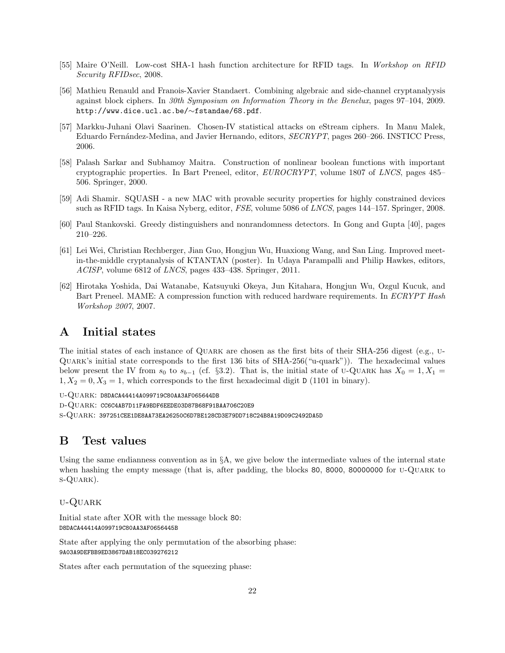- [55] Maire O'Neill. Low-cost SHA-1 hash function architecture for RFID tags. In Workshop on RFID Security RFIDsec, 2008.
- [56] Mathieu Renauld and Franois-Xavier Standaert. Combining algebraic and side-channel cryptanalyysis against block ciphers. In 30th Symposium on Information Theory in the Benelux, pages 97–104, 2009. http://www.dice.ucl.ac.be/∼fstandae/68.pdf.
- [57] Markku-Juhani Olavi Saarinen. Chosen-IV statistical attacks on eStream ciphers. In Manu Malek, Eduardo Fernández-Medina, and Javier Hernando, editors, SECRYPT, pages 260–266. INSTICC Press, 2006.
- [58] Palash Sarkar and Subhamoy Maitra. Construction of nonlinear boolean functions with important cryptographic properties. In Bart Preneel, editor, EUROCRYPT, volume 1807 of LNCS, pages 485– 506. Springer, 2000.
- [59] Adi Shamir. SQUASH a new MAC with provable security properties for highly constrained devices such as RFID tags. In Kaisa Nyberg, editor, FSE, volume 5086 of LNCS, pages 144–157. Springer, 2008.
- [60] Paul Stankovski. Greedy distinguishers and nonrandomness detectors. In Gong and Gupta [40], pages 210–226.
- [61] Lei Wei, Christian Rechberger, Jian Guo, Hongjun Wu, Huaxiong Wang, and San Ling. Improved meetin-the-middle cryptanalysis of KTANTAN (poster). In Udaya Parampalli and Philip Hawkes, editors, ACISP, volume 6812 of LNCS, pages 433–438. Springer, 2011.
- [62] Hirotaka Yoshida, Dai Watanabe, Katsuyuki Okeya, Jun Kitahara, Hongjun Wu, Ozgul Kucuk, and Bart Preneel. MAME: A compression function with reduced hardware requirements. In ECRYPT Hash Workshop 2007, 2007.

## A Initial states

The initial states of each instance of Quark are chosen as the first bits of their SHA-256 digest (e.g., u-Quark's initial state corresponds to the first 136 bits of SHA-256("u-quark")). The hexadecimal values below present the IV from  $s_0$  to  $s_{b-1}$  (cf. §3.2). That is, the initial state of u-QUARK has  $X_0 = 1, X_1 =$  $1, X_2 = 0, X_3 = 1$ , which corresponds to the first hexadecimal digit D (1101 in binary).

u-Quark: D8DACA44414A099719C80AA3AF065644DB

d-Quark: CC6C4AB7D11FA9BDF6EEDE03D87B68F91BAA706C20E9

s-Quark: 397251CEE1DE8AA73EA26250C6D7BE128CD3E79DD718C24B8A19D09C2492DA5D

## B Test values

Using the same endianness convention as in  $\S$ A, we give below the intermediate values of the internal state when hashing the empty message (that is, after padding, the blocks 80, 8000, 80000000 for U-QUARK to s-Quark).

## u-Quark

Initial state after XOR with the message block 80: D8DACA44414A099719C80AA3AF0656445B

State after applying the only permutation of the absorbing phase: 9A03A9DEFBB9ED3867DAB18EC039276212

States after each permutation of the squeezing phase: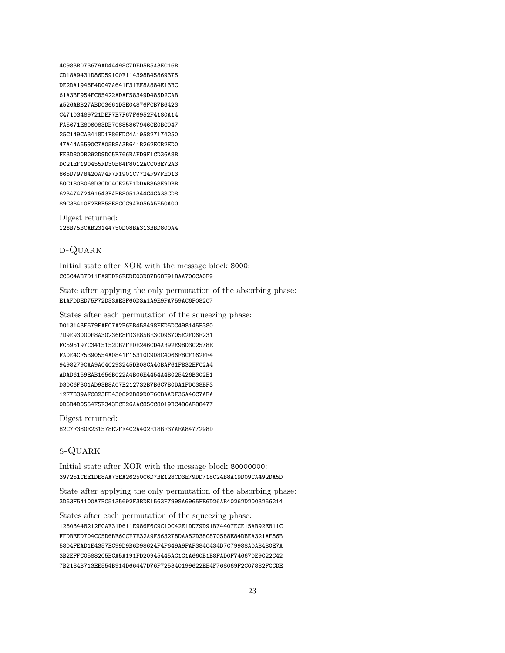4C983B073679AD44498C7DED5B5A3EC16B CD18A9431D86D59100F114398B45869375 DE2DA1946E4D047A641F31EF8A884E13BC 61A3BF954EC85422ADAF58349D485D2CAB A526ABB27ABD03661D3E04876FCB7B6423 C47103489721DEF7E7F67F6952F4180A14 FA5671E806083DB70885867946CE0BC947 25C149CA3418D1F86FDC4A195827174250 47A44A6590C7A05B8A3B641B262ECB2ED0 FE3D800B292D9DC5E766BAFD9F1CD36A8B DC21EF190455FD30B84F8012ACC03E72A3 865D7978420A74F7F1901C7724F97FE013 50C180B068D3CD04CE25F1DDAB868E9DBB 62347472491643FABB8051344C4CA38CD8 89C3B410F2EBE58E8CCC9AB056A5E50A00

Digest returned: 126B75BCAB23144750D08BA313BBD800A4

## d-Quark

Initial state after XOR with the message block 8000: CC6C4AB7D11FA9BDF6EEDE03D87B68F91BAA706CA0E9

State after applying the only permutation of the absorbing phase: E1AFDDED75F72D33AE3F60D3A1A9E9FA759AC6F082C7

States after each permutation of the squeezing phase: D013143E679FAEC7A2B6EB458498FED5DC498145F380 7D9E93000F8A30236E8FD3E85BE3C096705E2FD6E231 FC595197C3415152DB7FF0E246CD4AB92E98D3C2578E FA0E4CF5390554A0841F15310C908C4066F8CF162FF4 9498279CAA9AC4C293245DB08CA40BAF61FB32EFC2A4 ADAD6159EAB1656B022A4B06E4454A4B025426B302E1 D30C6F301AD93B8A07E212732B7B6C7B0DA1FDC38BF3 12F7B39AFC823FB430892B89D0F6CBAADF36A46C7AEA 0D6B4D0554F5F343BCB26AAC85CC8019BC486AF88477

Digest returned: 82C7F380E231578E2FF4C2A402E18BF37AEA8477298D

## s-Quark

Initial state after XOR with the message block 80000000: 397251CEE1DE8AA73EA26250C6D7BE128CD3E79DD718C24B8A19D09CA492DA5D

State after applying the only permutation of the absorbing phase: 3D63F54100A7BC5135692F3BDE1563F7998A6965FE6D26AB40262D2003256214

States after each permutation of the squeezing phase: 12603448212FCAF31D611E986F6C9C10C42E1DD79D91B74407ECE15AB92E811C FFDBEED704CC5D6BE6CCF7E32A9F563278DAA52D38C870588E84DBEA321AE86B 5804FEAD1E4357EC99D9B6D98624F4F649A9FAF384C434D7C79988A0AB4B0E7A 3B2EFFC05882C5BCA5A191FD20945445AC1C1A660B1B8FAD0F746670E9C22C42 7B2184B713EE554B914D66447D76F725340199622EE4F768069F2C07882FCCDE